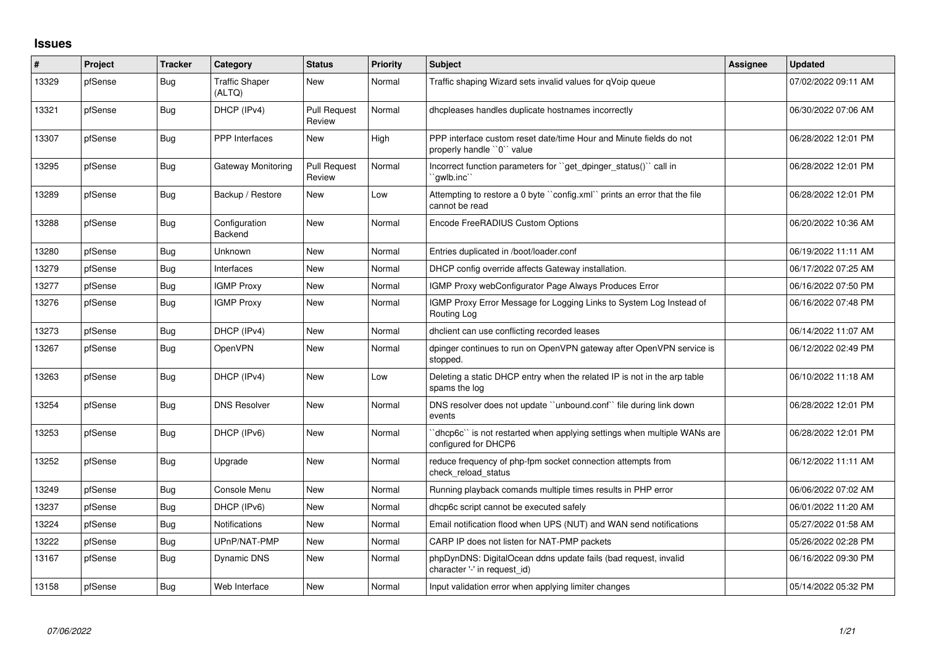## **Issues**

| #     | <b>Project</b> | <b>Tracker</b> | Category                        | <b>Status</b>                 | <b>Priority</b> | <b>Subject</b>                                                                                  | Assignee | <b>Updated</b>      |
|-------|----------------|----------------|---------------------------------|-------------------------------|-----------------|-------------------------------------------------------------------------------------------------|----------|---------------------|
| 13329 | pfSense        | Bug            | <b>Traffic Shaper</b><br>(ALTQ) | <b>New</b>                    | Normal          | Traffic shaping Wizard sets invalid values for qVoip queue                                      |          | 07/02/2022 09:11 AM |
| 13321 | pfSense        | Bug            | DHCP (IPv4)                     | <b>Pull Request</b><br>Review | Normal          | dhcpleases handles duplicate hostnames incorrectly                                              |          | 06/30/2022 07:06 AM |
| 13307 | pfSense        | <b>Bug</b>     | <b>PPP</b> Interfaces           | <b>New</b>                    | High            | PPP interface custom reset date/time Hour and Minute fields do not<br>properly handle "0" value |          | 06/28/2022 12:01 PM |
| 13295 | pfSense        | Bug            | Gateway Monitoring              | <b>Pull Request</b><br>Review | Normal          | Incorrect function parameters for "get_dpinger_status()" call in<br>`awlb.inc``                 |          | 06/28/2022 12:01 PM |
| 13289 | pfSense        | Bug            | Backup / Restore                | New                           | Low             | Attempting to restore a 0 byte "config.xml" prints an error that the file<br>cannot be read     |          | 06/28/2022 12:01 PM |
| 13288 | pfSense        | Bug            | Configuration<br>Backend        | New                           | Normal          | Encode FreeRADIUS Custom Options                                                                |          | 06/20/2022 10:36 AM |
| 13280 | pfSense        | Bug            | Unknown                         | <b>New</b>                    | Normal          | Entries duplicated in /boot/loader.conf                                                         |          | 06/19/2022 11:11 AM |
| 13279 | pfSense        | Bug            | Interfaces                      | New                           | Normal          | DHCP config override affects Gateway installation.                                              |          | 06/17/2022 07:25 AM |
| 13277 | pfSense        | Bug            | <b>IGMP Proxy</b>               | New                           | Normal          | IGMP Proxy webConfigurator Page Always Produces Error                                           |          | 06/16/2022 07:50 PM |
| 13276 | pfSense        | Bug            | <b>IGMP Proxy</b>               | New                           | Normal          | IGMP Proxy Error Message for Logging Links to System Log Instead of<br>Routing Log              |          | 06/16/2022 07:48 PM |
| 13273 | pfSense        | <b>Bug</b>     | DHCP (IPv4)                     | New                           | Normal          | dhclient can use conflicting recorded leases                                                    |          | 06/14/2022 11:07 AM |
| 13267 | pfSense        | Bug            | OpenVPN                         | New                           | Normal          | dpinger continues to run on OpenVPN gateway after OpenVPN service is<br>stopped.                |          | 06/12/2022 02:49 PM |
| 13263 | pfSense        | Bug            | DHCP (IPv4)                     | <b>New</b>                    | Low             | Deleting a static DHCP entry when the related IP is not in the arp table<br>spams the log       |          | 06/10/2022 11:18 AM |
| 13254 | pfSense        | Bug            | <b>DNS Resolver</b>             | New                           | Normal          | DNS resolver does not update "unbound.conf" file during link down<br>events                     |          | 06/28/2022 12:01 PM |
| 13253 | pfSense        | Bug            | DHCP (IPv6)                     | <b>New</b>                    | Normal          | 'dhcp6c' is not restarted when applying settings when multiple WANs are<br>configured for DHCP6 |          | 06/28/2022 12:01 PM |
| 13252 | pfSense        | <b>Bug</b>     | Upgrade                         | <b>New</b>                    | Normal          | reduce frequency of php-fpm socket connection attempts from<br>check reload status              |          | 06/12/2022 11:11 AM |
| 13249 | pfSense        | Bug            | Console Menu                    | <b>New</b>                    | Normal          | Running playback comands multiple times results in PHP error                                    |          | 06/06/2022 07:02 AM |
| 13237 | pfSense        | Bug            | DHCP (IPv6)                     | <b>New</b>                    | Normal          | dhcp6c script cannot be executed safely                                                         |          | 06/01/2022 11:20 AM |
| 13224 | pfSense        | Bug            | <b>Notifications</b>            | New                           | Normal          | Email notification flood when UPS (NUT) and WAN send notifications                              |          | 05/27/2022 01:58 AM |
| 13222 | pfSense        | Bug            | UPnP/NAT-PMP                    | New                           | Normal          | CARP IP does not listen for NAT-PMP packets                                                     |          | 05/26/2022 02:28 PM |
| 13167 | pfSense        | Bug            | Dynamic DNS                     | New                           | Normal          | phpDynDNS: DigitalOcean ddns update fails (bad request, invalid<br>character '-' in request id) |          | 06/16/2022 09:30 PM |
| 13158 | pfSense        | Bug            | Web Interface                   | <b>New</b>                    | Normal          | Input validation error when applying limiter changes                                            |          | 05/14/2022 05:32 PM |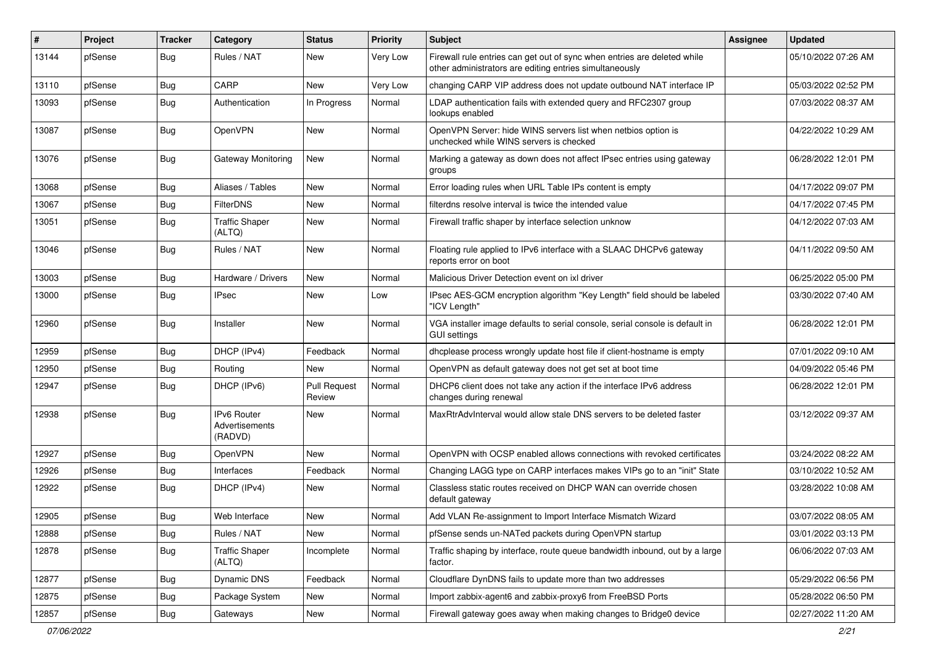| #     | Project | <b>Tracker</b> | Category                                        | <b>Status</b>                 | <b>Priority</b> | <b>Subject</b>                                                                                                                      | <b>Assignee</b> | <b>Updated</b>      |
|-------|---------|----------------|-------------------------------------------------|-------------------------------|-----------------|-------------------------------------------------------------------------------------------------------------------------------------|-----------------|---------------------|
| 13144 | pfSense | Bug            | Rules / NAT                                     | New                           | <b>Very Low</b> | Firewall rule entries can get out of sync when entries are deleted while<br>other administrators are editing entries simultaneously |                 | 05/10/2022 07:26 AM |
| 13110 | pfSense | Bug            | CARP                                            | New                           | Very Low        | changing CARP VIP address does not update outbound NAT interface IP                                                                 |                 | 05/03/2022 02:52 PM |
| 13093 | pfSense | <b>Bug</b>     | Authentication                                  | In Progress                   | Normal          | LDAP authentication fails with extended query and RFC2307 group<br>lookups enabled                                                  |                 | 07/03/2022 08:37 AM |
| 13087 | pfSense | Bug            | OpenVPN                                         | New                           | Normal          | OpenVPN Server: hide WINS servers list when netbios option is<br>unchecked while WINS servers is checked                            |                 | 04/22/2022 10:29 AM |
| 13076 | pfSense | Bug            | Gateway Monitoring                              | <b>New</b>                    | Normal          | Marking a gateway as down does not affect IPsec entries using gateway<br>groups                                                     |                 | 06/28/2022 12:01 PM |
| 13068 | pfSense | Bug            | Aliases / Tables                                | New                           | Normal          | Error loading rules when URL Table IPs content is empty                                                                             |                 | 04/17/2022 09:07 PM |
| 13067 | pfSense | Bug            | <b>FilterDNS</b>                                | New                           | Normal          | filterdns resolve interval is twice the intended value                                                                              |                 | 04/17/2022 07:45 PM |
| 13051 | pfSense | <b>Bug</b>     | <b>Traffic Shaper</b><br>(ALTQ)                 | New                           | Normal          | Firewall traffic shaper by interface selection unknow                                                                               |                 | 04/12/2022 07:03 AM |
| 13046 | pfSense | Bug            | Rules / NAT                                     | New                           | Normal          | Floating rule applied to IPv6 interface with a SLAAC DHCPv6 gateway<br>reports error on boot                                        |                 | 04/11/2022 09:50 AM |
| 13003 | pfSense | Bug            | Hardware / Drivers                              | <b>New</b>                    | Normal          | Malicious Driver Detection event on ixl driver                                                                                      |                 | 06/25/2022 05:00 PM |
| 13000 | pfSense | Bug            | <b>IPsec</b>                                    | New                           | Low             | IPsec AES-GCM encryption algorithm "Key Length" field should be labeled<br>"ICV Length"                                             |                 | 03/30/2022 07:40 AM |
| 12960 | pfSense | <b>Bug</b>     | Installer                                       | <b>New</b>                    | Normal          | VGA installer image defaults to serial console, serial console is default in<br>GUI settinas                                        |                 | 06/28/2022 12:01 PM |
| 12959 | pfSense | <b>Bug</b>     | DHCP (IPv4)                                     | Feedback                      | Normal          | dhcplease process wrongly update host file if client-hostname is empty                                                              |                 | 07/01/2022 09:10 AM |
| 12950 | pfSense | Bug            | Routing                                         | New                           | Normal          | OpenVPN as default gateway does not get set at boot time                                                                            |                 | 04/09/2022 05:46 PM |
| 12947 | pfSense | <b>Bug</b>     | DHCP (IPv6)                                     | <b>Pull Request</b><br>Review | Normal          | DHCP6 client does not take any action if the interface IPv6 address<br>changes during renewal                                       |                 | 06/28/2022 12:01 PM |
| 12938 | pfSense | Bug            | <b>IPv6 Router</b><br>Advertisements<br>(RADVD) | New                           | Normal          | MaxRtrAdvInterval would allow stale DNS servers to be deleted faster                                                                |                 | 03/12/2022 09:37 AM |
| 12927 | pfSense | <b>Bug</b>     | <b>OpenVPN</b>                                  | <b>New</b>                    | Normal          | OpenVPN with OCSP enabled allows connections with revoked certificates                                                              |                 | 03/24/2022 08:22 AM |
| 12926 | pfSense | <b>Bug</b>     | Interfaces                                      | Feedback                      | Normal          | Changing LAGG type on CARP interfaces makes VIPs go to an "init" State                                                              |                 | 03/10/2022 10:52 AM |
| 12922 | pfSense | <b>Bug</b>     | DHCP (IPv4)                                     | <b>New</b>                    | Normal          | Classless static routes received on DHCP WAN can override chosen<br>default gateway                                                 |                 | 03/28/2022 10:08 AM |
| 12905 | pfSense | Bug            | Web Interface                                   | New                           | Normal          | Add VLAN Re-assignment to Import Interface Mismatch Wizard                                                                          |                 | 03/07/2022 08:05 AM |
| 12888 | pfSense | Bug            | Rules / NAT                                     | New                           | Normal          | pfSense sends un-NATed packets during OpenVPN startup                                                                               |                 | 03/01/2022 03:13 PM |
| 12878 | pfSense | <b>Bug</b>     | <b>Traffic Shaper</b><br>(ALTQ)                 | Incomplete                    | Normal          | Traffic shaping by interface, route queue bandwidth inbound, out by a large<br>factor.                                              |                 | 06/06/2022 07:03 AM |
| 12877 | pfSense | <b>Bug</b>     | Dynamic DNS                                     | Feedback                      | Normal          | Cloudflare DynDNS fails to update more than two addresses                                                                           |                 | 05/29/2022 06:56 PM |
| 12875 | pfSense | <b>Bug</b>     | Package System                                  | New                           | Normal          | Import zabbix-agent6 and zabbix-proxy6 from FreeBSD Ports                                                                           |                 | 05/28/2022 06:50 PM |
| 12857 | pfSense | <b>Bug</b>     | Gateways                                        | New                           | Normal          | Firewall gateway goes away when making changes to Bridge0 device                                                                    |                 | 02/27/2022 11:20 AM |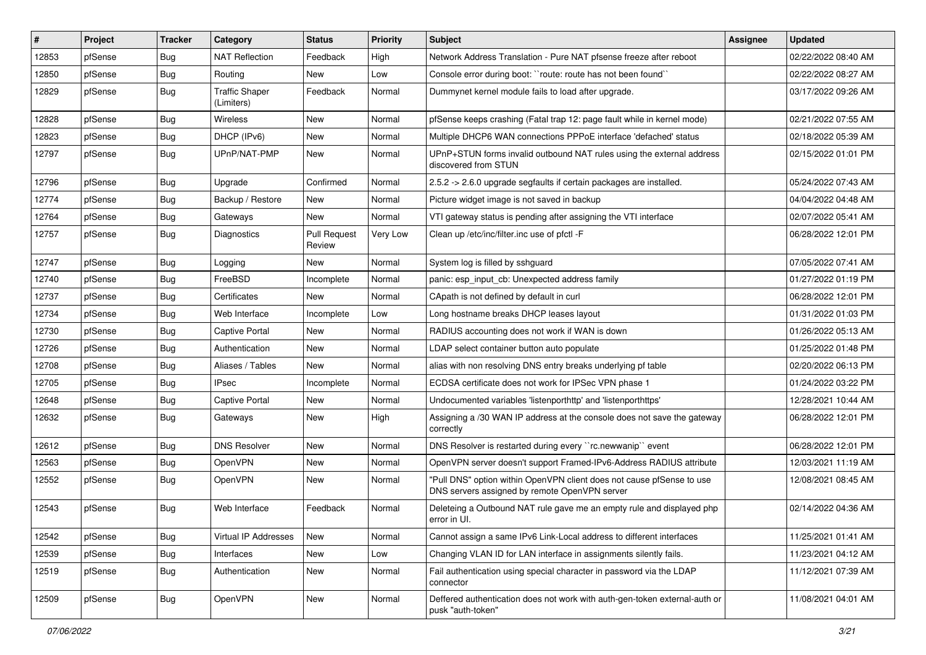| $\vert$ # | Project | <b>Tracker</b> | Category                            | <b>Status</b>                 | <b>Priority</b> | Subject                                                                                                                | <b>Assignee</b> | <b>Updated</b>      |
|-----------|---------|----------------|-------------------------------------|-------------------------------|-----------------|------------------------------------------------------------------------------------------------------------------------|-----------------|---------------------|
| 12853     | pfSense | <b>Bug</b>     | <b>NAT Reflection</b>               | Feedback                      | High            | Network Address Translation - Pure NAT pfsense freeze after reboot                                                     |                 | 02/22/2022 08:40 AM |
| 12850     | pfSense | <b>Bug</b>     | Routing                             | New                           | Low             | Console error during boot: "route: route has not been found"                                                           |                 | 02/22/2022 08:27 AM |
| 12829     | pfSense | Bug            | <b>Traffic Shaper</b><br>(Limiters) | Feedback                      | Normal          | Dummynet kernel module fails to load after upgrade.                                                                    |                 | 03/17/2022 09:26 AM |
| 12828     | pfSense | Bug            | <b>Wireless</b>                     | New                           | Normal          | pfSense keeps crashing (Fatal trap 12: page fault while in kernel mode)                                                |                 | 02/21/2022 07:55 AM |
| 12823     | pfSense | Bug            | DHCP (IPv6)                         | New                           | Normal          | Multiple DHCP6 WAN connections PPPoE interface 'defached' status                                                       |                 | 02/18/2022 05:39 AM |
| 12797     | pfSense | Bug            | UPnP/NAT-PMP                        | New                           | Normal          | UPnP+STUN forms invalid outbound NAT rules using the external address<br>discovered from STUN                          |                 | 02/15/2022 01:01 PM |
| 12796     | pfSense | <b>Bug</b>     | Upgrade                             | Confirmed                     | Normal          | 2.5.2 -> 2.6.0 upgrade segfaults if certain packages are installed.                                                    |                 | 05/24/2022 07:43 AM |
| 12774     | pfSense | Bug            | Backup / Restore                    | New                           | Normal          | Picture widget image is not saved in backup                                                                            |                 | 04/04/2022 04:48 AM |
| 12764     | pfSense | <b>Bug</b>     | Gateways                            | New                           | Normal          | VTI gateway status is pending after assigning the VTI interface                                                        |                 | 02/07/2022 05:41 AM |
| 12757     | pfSense | Bug            | Diagnostics                         | <b>Pull Request</b><br>Review | Very Low        | Clean up /etc/inc/filter.inc use of pfctl -F                                                                           |                 | 06/28/2022 12:01 PM |
| 12747     | pfSense | <b>Bug</b>     | Logging                             | New                           | Normal          | System log is filled by sshquard                                                                                       |                 | 07/05/2022 07:41 AM |
| 12740     | pfSense | <b>Bug</b>     | FreeBSD                             | Incomplete                    | Normal          | panic: esp_input_cb: Unexpected address family                                                                         |                 | 01/27/2022 01:19 PM |
| 12737     | pfSense | Bug            | Certificates                        | <b>New</b>                    | Normal          | CApath is not defined by default in curl                                                                               |                 | 06/28/2022 12:01 PM |
| 12734     | pfSense | <b>Bug</b>     | Web Interface                       | Incomplete                    | Low             | Long hostname breaks DHCP leases layout                                                                                |                 | 01/31/2022 01:03 PM |
| 12730     | pfSense | Bug            | <b>Captive Portal</b>               | New                           | Normal          | RADIUS accounting does not work if WAN is down                                                                         |                 | 01/26/2022 05:13 AM |
| 12726     | pfSense | <b>Bug</b>     | Authentication                      | New                           | Normal          | LDAP select container button auto populate                                                                             |                 | 01/25/2022 01:48 PM |
| 12708     | pfSense | <b>Bug</b>     | Aliases / Tables                    | New                           | Normal          | alias with non resolving DNS entry breaks underlying pf table                                                          |                 | 02/20/2022 06:13 PM |
| 12705     | pfSense | Bug            | <b>IPsec</b>                        | Incomplete                    | Normal          | ECDSA certificate does not work for IPSec VPN phase 1                                                                  |                 | 01/24/2022 03:22 PM |
| 12648     | pfSense | <b>Bug</b>     | <b>Captive Portal</b>               | New                           | Normal          | Undocumented variables 'listenporthttp' and 'listenporthttps'                                                          |                 | 12/28/2021 10:44 AM |
| 12632     | pfSense | Bug            | Gateways                            | New                           | High            | Assigning a /30 WAN IP address at the console does not save the gateway<br>correctly                                   |                 | 06/28/2022 12:01 PM |
| 12612     | pfSense | Bug            | <b>DNS Resolver</b>                 | New                           | Normal          | DNS Resolver is restarted during every "rc.newwanip" event                                                             |                 | 06/28/2022 12:01 PM |
| 12563     | pfSense | Bug            | OpenVPN                             | New                           | Normal          | OpenVPN server doesn't support Framed-IPv6-Address RADIUS attribute                                                    |                 | 12/03/2021 11:19 AM |
| 12552     | pfSense | Bug            | OpenVPN                             | New                           | Normal          | "Pull DNS" option within OpenVPN client does not cause pfSense to use<br>DNS servers assigned by remote OpenVPN server |                 | 12/08/2021 08:45 AM |
| 12543     | pfSense | Bug            | Web Interface                       | Feedback                      | Normal          | Deleteing a Outbound NAT rule gave me an empty rule and displayed php<br>error in UI.                                  |                 | 02/14/2022 04:36 AM |
| 12542     | pfSense | Bug            | Virtual IP Addresses                | New                           | Normal          | Cannot assign a same IPv6 Link-Local address to different interfaces                                                   |                 | 11/25/2021 01:41 AM |
| 12539     | pfSense | <b>Bug</b>     | Interfaces                          | New                           | Low             | Changing VLAN ID for LAN interface in assignments silently fails.                                                      |                 | 11/23/2021 04:12 AM |
| 12519     | pfSense | <b>Bug</b>     | Authentication                      | New                           | Normal          | Fail authentication using special character in password via the LDAP<br>connector                                      |                 | 11/12/2021 07:39 AM |
| 12509     | pfSense | <b>Bug</b>     | OpenVPN                             | New                           | Normal          | Deffered authentication does not work with auth-gen-token external-auth or<br>pusk "auth-token"                        |                 | 11/08/2021 04:01 AM |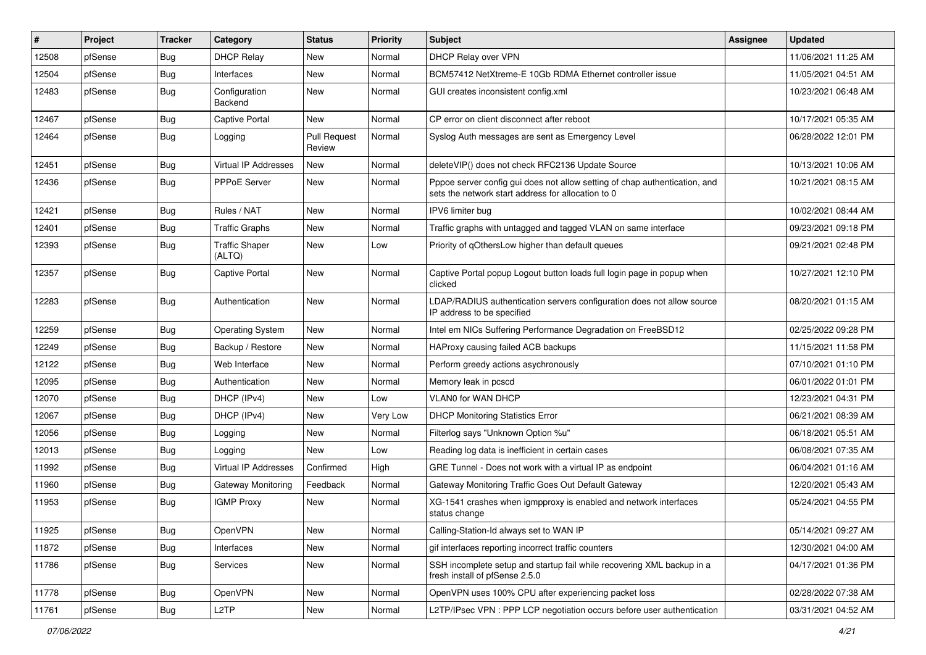| $\vert$ # | Project | <b>Tracker</b> | Category                        | <b>Status</b>                 | <b>Priority</b> | <b>Subject</b>                                                                                                                   | <b>Assignee</b> | Updated             |
|-----------|---------|----------------|---------------------------------|-------------------------------|-----------------|----------------------------------------------------------------------------------------------------------------------------------|-----------------|---------------------|
| 12508     | pfSense | Bug            | <b>DHCP Relay</b>               | New                           | Normal          | DHCP Relay over VPN                                                                                                              |                 | 11/06/2021 11:25 AM |
| 12504     | pfSense | Bug            | Interfaces                      | <b>New</b>                    | Normal          | BCM57412 NetXtreme-E 10Gb RDMA Ethernet controller issue                                                                         |                 | 11/05/2021 04:51 AM |
| 12483     | pfSense | Bug            | Configuration<br><b>Backend</b> | New                           | Normal          | GUI creates inconsistent config.xml                                                                                              |                 | 10/23/2021 06:48 AM |
| 12467     | pfSense | Bug            | <b>Captive Portal</b>           | <b>New</b>                    | Normal          | CP error on client disconnect after reboot                                                                                       |                 | 10/17/2021 05:35 AM |
| 12464     | pfSense | Bug            | Logging                         | <b>Pull Request</b><br>Review | Normal          | Syslog Auth messages are sent as Emergency Level                                                                                 |                 | 06/28/2022 12:01 PM |
| 12451     | pfSense | Bug            | Virtual IP Addresses            | <b>New</b>                    | Normal          | deleteVIP() does not check RFC2136 Update Source                                                                                 |                 | 10/13/2021 10:06 AM |
| 12436     | pfSense | Bug            | PPPoE Server                    | New                           | Normal          | Pppoe server config gui does not allow setting of chap authentication, and<br>sets the network start address for allocation to 0 |                 | 10/21/2021 08:15 AM |
| 12421     | pfSense | Bug            | Rules / NAT                     | <b>New</b>                    | Normal          | IPV6 limiter bug                                                                                                                 |                 | 10/02/2021 08:44 AM |
| 12401     | pfSense | Bug            | <b>Traffic Graphs</b>           | New                           | Normal          | Traffic graphs with untagged and tagged VLAN on same interface                                                                   |                 | 09/23/2021 09:18 PM |
| 12393     | pfSense | <b>Bug</b>     | <b>Traffic Shaper</b><br>(ALTQ) | <b>New</b>                    | Low             | Priority of gOthersLow higher than default queues                                                                                |                 | 09/21/2021 02:48 PM |
| 12357     | pfSense | Bug            | <b>Captive Portal</b>           | New                           | Normal          | Captive Portal popup Logout button loads full login page in popup when<br>clicked                                                |                 | 10/27/2021 12:10 PM |
| 12283     | pfSense | Bug            | Authentication                  | <b>New</b>                    | Normal          | LDAP/RADIUS authentication servers configuration does not allow source<br>IP address to be specified                             |                 | 08/20/2021 01:15 AM |
| 12259     | pfSense | Bug            | <b>Operating System</b>         | <b>New</b>                    | Normal          | Intel em NICs Suffering Performance Degradation on FreeBSD12                                                                     |                 | 02/25/2022 09:28 PM |
| 12249     | pfSense | Bug            | Backup / Restore                | New                           | Normal          | HAProxy causing failed ACB backups                                                                                               |                 | 11/15/2021 11:58 PM |
| 12122     | pfSense | Bug            | Web Interface                   | <b>New</b>                    | Normal          | Perform greedy actions asychronously                                                                                             |                 | 07/10/2021 01:10 PM |
| 12095     | pfSense | Bug            | Authentication                  | New                           | Normal          | Memory leak in pcscd                                                                                                             |                 | 06/01/2022 01:01 PM |
| 12070     | pfSense | Bug            | DHCP (IPv4)                     | New                           | Low             | VLAN0 for WAN DHCP                                                                                                               |                 | 12/23/2021 04:31 PM |
| 12067     | pfSense | Bug            | DHCP (IPv4)                     | <b>New</b>                    | Very Low        | <b>DHCP Monitoring Statistics Error</b>                                                                                          |                 | 06/21/2021 08:39 AM |
| 12056     | pfSense | Bug            | Logging                         | New                           | Normal          | Filterlog says "Unknown Option %u"                                                                                               |                 | 06/18/2021 05:51 AM |
| 12013     | pfSense | Bug            | Logging                         | <b>New</b>                    | Low             | Reading log data is inefficient in certain cases                                                                                 |                 | 06/08/2021 07:35 AM |
| 11992     | pfSense | <b>Bug</b>     | Virtual IP Addresses            | Confirmed                     | High            | GRE Tunnel - Does not work with a virtual IP as endpoint                                                                         |                 | 06/04/2021 01:16 AM |
| 11960     | pfSense | <b>Bug</b>     | <b>Gateway Monitoring</b>       | Feedback                      | Normal          | Gateway Monitoring Traffic Goes Out Default Gateway                                                                              |                 | 12/20/2021 05:43 AM |
| 11953     | pfSense | Bug            | <b>IGMP Proxy</b>               | <b>New</b>                    | Normal          | XG-1541 crashes when igmpproxy is enabled and network interfaces<br>status change                                                |                 | 05/24/2021 04:55 PM |
| 11925     | pfSense | Bug            | OpenVPN                         | New                           | Normal          | Calling-Station-Id always set to WAN IP                                                                                          |                 | 05/14/2021 09:27 AM |
| 11872     | pfSense | <b>Bug</b>     | Interfaces                      | New                           | Normal          | gif interfaces reporting incorrect traffic counters                                                                              |                 | 12/30/2021 04:00 AM |
| 11786     | pfSense | <b>Bug</b>     | Services                        | New                           | Normal          | SSH incomplete setup and startup fail while recovering XML backup in a<br>fresh install of pfSense 2.5.0                         |                 | 04/17/2021 01:36 PM |
| 11778     | pfSense | Bug            | OpenVPN                         | New                           | Normal          | OpenVPN uses 100% CPU after experiencing packet loss                                                                             |                 | 02/28/2022 07:38 AM |
| 11761     | pfSense | Bug            | L <sub>2</sub> TP               | New                           | Normal          | L2TP/IPsec VPN : PPP LCP negotiation occurs before user authentication                                                           |                 | 03/31/2021 04:52 AM |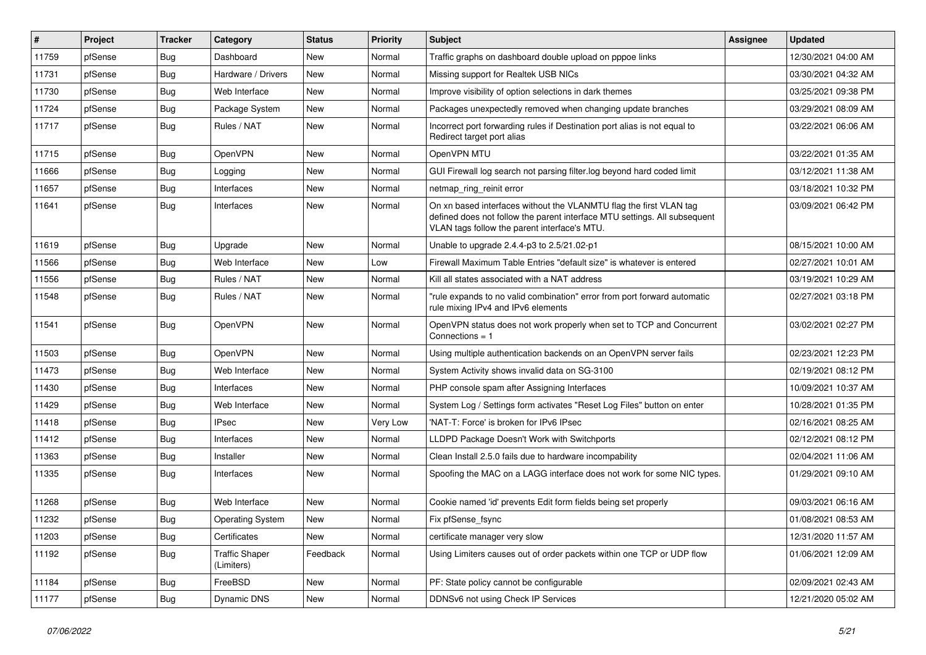| #     | Project | <b>Tracker</b> | Category                            | <b>Status</b> | <b>Priority</b> | Subject                                                                                                                                                                                         | <b>Assignee</b> | <b>Updated</b>      |
|-------|---------|----------------|-------------------------------------|---------------|-----------------|-------------------------------------------------------------------------------------------------------------------------------------------------------------------------------------------------|-----------------|---------------------|
| 11759 | pfSense | <b>Bug</b>     | Dashboard                           | New           | Normal          | Traffic graphs on dashboard double upload on pppoe links                                                                                                                                        |                 | 12/30/2021 04:00 AM |
| 11731 | pfSense | <b>Bug</b>     | Hardware / Drivers                  | <b>New</b>    | Normal          | Missing support for Realtek USB NICs                                                                                                                                                            |                 | 03/30/2021 04:32 AM |
| 11730 | pfSense | <b>Bug</b>     | Web Interface                       | New           | Normal          | Improve visibility of option selections in dark themes                                                                                                                                          |                 | 03/25/2021 09:38 PM |
| 11724 | pfSense | <b>Bug</b>     | Package System                      | New           | Normal          | Packages unexpectedly removed when changing update branches                                                                                                                                     |                 | 03/29/2021 08:09 AM |
| 11717 | pfSense | Bug            | Rules / NAT                         | New           | Normal          | Incorrect port forwarding rules if Destination port alias is not equal to<br>Redirect target port alias                                                                                         |                 | 03/22/2021 06:06 AM |
| 11715 | pfSense | <b>Bug</b>     | OpenVPN                             | New           | Normal          | OpenVPN MTU                                                                                                                                                                                     |                 | 03/22/2021 01:35 AM |
| 11666 | pfSense | <b>Bug</b>     | Logging                             | New           | Normal          | GUI Firewall log search not parsing filter.log beyond hard coded limit                                                                                                                          |                 | 03/12/2021 11:38 AM |
| 11657 | pfSense | <b>Bug</b>     | Interfaces                          | New           | Normal          | netmap_ring_reinit error                                                                                                                                                                        |                 | 03/18/2021 10:32 PM |
| 11641 | pfSense | <b>Bug</b>     | Interfaces                          | New           | Normal          | On xn based interfaces without the VLANMTU flag the first VLAN tag<br>defined does not follow the parent interface MTU settings. All subsequent<br>VLAN tags follow the parent interface's MTU. |                 | 03/09/2021 06:42 PM |
| 11619 | pfSense | <b>Bug</b>     | Upgrade                             | <b>New</b>    | Normal          | Unable to upgrade 2.4.4-p3 to 2.5/21.02-p1                                                                                                                                                      |                 | 08/15/2021 10:00 AM |
| 11566 | pfSense | <b>Bug</b>     | Web Interface                       | New           | Low             | Firewall Maximum Table Entries "default size" is whatever is entered                                                                                                                            |                 | 02/27/2021 10:01 AM |
| 11556 | pfSense | Bug            | Rules / NAT                         | New           | Normal          | Kill all states associated with a NAT address                                                                                                                                                   |                 | 03/19/2021 10:29 AM |
| 11548 | pfSense | Bug            | Rules / NAT                         | New           | Normal          | "rule expands to no valid combination" error from port forward automatic<br>rule mixing IPv4 and IPv6 elements                                                                                  |                 | 02/27/2021 03:18 PM |
| 11541 | pfSense | Bug            | <b>OpenVPN</b>                      | New           | Normal          | OpenVPN status does not work properly when set to TCP and Concurrent<br>Connections = $1$                                                                                                       |                 | 03/02/2021 02:27 PM |
| 11503 | pfSense | <b>Bug</b>     | OpenVPN                             | New           | Normal          | Using multiple authentication backends on an OpenVPN server fails                                                                                                                               |                 | 02/23/2021 12:23 PM |
| 11473 | pfSense | <b>Bug</b>     | Web Interface                       | New           | Normal          | System Activity shows invalid data on SG-3100                                                                                                                                                   |                 | 02/19/2021 08:12 PM |
| 11430 | pfSense | Bug            | Interfaces                          | New           | Normal          | PHP console spam after Assigning Interfaces                                                                                                                                                     |                 | 10/09/2021 10:37 AM |
| 11429 | pfSense | Bug            | Web Interface                       | New           | Normal          | System Log / Settings form activates "Reset Log Files" button on enter                                                                                                                          |                 | 10/28/2021 01:35 PM |
| 11418 | pfSense | <b>Bug</b>     | <b>IPsec</b>                        | <b>New</b>    | Very Low        | 'NAT-T: Force' is broken for IPv6 IPsec                                                                                                                                                         |                 | 02/16/2021 08:25 AM |
| 11412 | pfSense | Bug            | Interfaces                          | New           | Normal          | LLDPD Package Doesn't Work with Switchports                                                                                                                                                     |                 | 02/12/2021 08:12 PM |
| 11363 | pfSense | <b>Bug</b>     | Installer                           | New           | Normal          | Clean Install 2.5.0 fails due to hardware incompability                                                                                                                                         |                 | 02/04/2021 11:06 AM |
| 11335 | pfSense | <b>Bug</b>     | Interfaces                          | New           | Normal          | Spoofing the MAC on a LAGG interface does not work for some NIC types.                                                                                                                          |                 | 01/29/2021 09:10 AM |
| 11268 | pfSense | Bug            | Web Interface                       | <b>New</b>    | Normal          | Cookie named 'id' prevents Edit form fields being set properly                                                                                                                                  |                 | 09/03/2021 06:16 AM |
| 11232 | pfSense | Bug            | <b>Operating System</b>             | New           | Normal          | Fix pfSense_fsync                                                                                                                                                                               |                 | 01/08/2021 08:53 AM |
| 11203 | pfSense | <b>Bug</b>     | Certificates                        | New           | Normal          | certificate manager very slow                                                                                                                                                                   |                 | 12/31/2020 11:57 AM |
| 11192 | pfSense | Bug            | <b>Traffic Shaper</b><br>(Limiters) | Feedback      | Normal          | Using Limiters causes out of order packets within one TCP or UDP flow                                                                                                                           |                 | 01/06/2021 12:09 AM |
| 11184 | pfSense | <b>Bug</b>     | FreeBSD                             | New           | Normal          | PF: State policy cannot be configurable                                                                                                                                                         |                 | 02/09/2021 02:43 AM |
| 11177 | pfSense | <b>Bug</b>     | Dynamic DNS                         | New           | Normal          | DDNSv6 not using Check IP Services                                                                                                                                                              |                 | 12/21/2020 05:02 AM |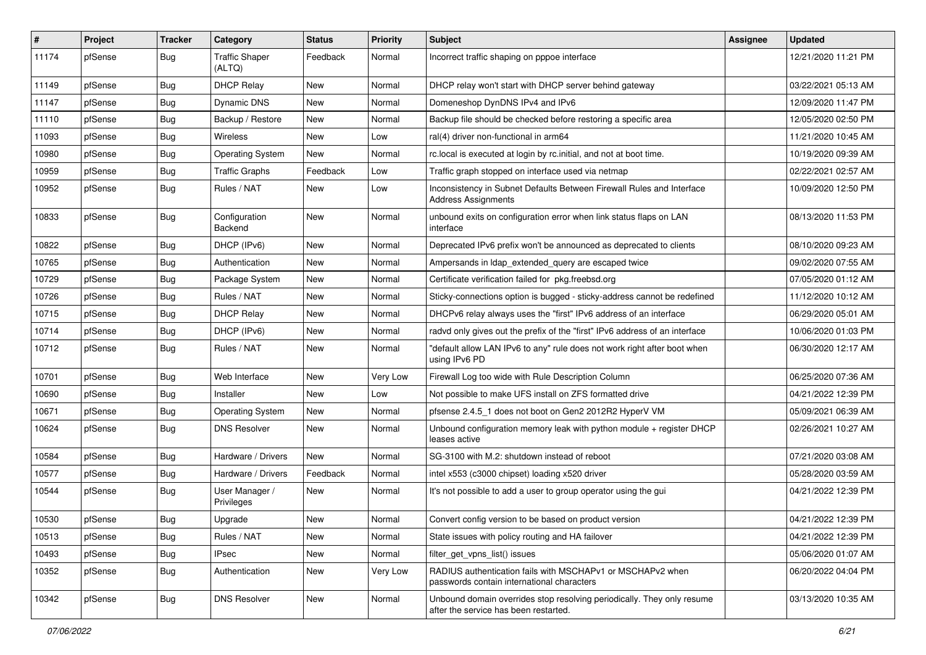| $\vert$ # | Project | <b>Tracker</b> | Category                        | <b>Status</b> | <b>Priority</b> | Subject                                                                                                         | <b>Assignee</b> | <b>Updated</b>      |
|-----------|---------|----------------|---------------------------------|---------------|-----------------|-----------------------------------------------------------------------------------------------------------------|-----------------|---------------------|
| 11174     | pfSense | Bug            | <b>Traffic Shaper</b><br>(ALTQ) | Feedback      | Normal          | Incorrect traffic shaping on pppoe interface                                                                    |                 | 12/21/2020 11:21 PM |
| 11149     | pfSense | Bug            | <b>DHCP Relay</b>               | New           | Normal          | DHCP relay won't start with DHCP server behind gateway                                                          |                 | 03/22/2021 05:13 AM |
| 11147     | pfSense | <b>Bug</b>     | Dynamic DNS                     | New           | Normal          | Domeneshop DynDNS IPv4 and IPv6                                                                                 |                 | 12/09/2020 11:47 PM |
| 11110     | pfSense | Bug            | Backup / Restore                | New           | Normal          | Backup file should be checked before restoring a specific area                                                  |                 | 12/05/2020 02:50 PM |
| 11093     | pfSense | <b>Bug</b>     | <b>Wireless</b>                 | New           | Low             | ral(4) driver non-functional in arm64                                                                           |                 | 11/21/2020 10:45 AM |
| 10980     | pfSense | <b>Bug</b>     | <b>Operating System</b>         | New           | Normal          | rc.local is executed at login by rc.initial, and not at boot time.                                              |                 | 10/19/2020 09:39 AM |
| 10959     | pfSense | Bug            | <b>Traffic Graphs</b>           | Feedback      | Low             | Traffic graph stopped on interface used via netmap                                                              |                 | 02/22/2021 02:57 AM |
| 10952     | pfSense | Bug            | Rules / NAT                     | <b>New</b>    | Low             | Inconsistency in Subnet Defaults Between Firewall Rules and Interface<br><b>Address Assignments</b>             |                 | 10/09/2020 12:50 PM |
| 10833     | pfSense | Bug            | Configuration<br>Backend        | New           | Normal          | unbound exits on configuration error when link status flaps on LAN<br>interface                                 |                 | 08/13/2020 11:53 PM |
| 10822     | pfSense | Bug            | DHCP (IPv6)                     | <b>New</b>    | Normal          | Deprecated IPv6 prefix won't be announced as deprecated to clients                                              |                 | 08/10/2020 09:23 AM |
| 10765     | pfSense | <b>Bug</b>     | Authentication                  | New           | Normal          | Ampersands in Idap extended query are escaped twice                                                             |                 | 09/02/2020 07:55 AM |
| 10729     | pfSense | <b>Bug</b>     | Package System                  | New           | Normal          | Certificate verification failed for pkg.freebsd.org                                                             |                 | 07/05/2020 01:12 AM |
| 10726     | pfSense | Bug            | Rules / NAT                     | New           | Normal          | Sticky-connections option is bugged - sticky-address cannot be redefined                                        |                 | 11/12/2020 10:12 AM |
| 10715     | pfSense | <b>Bug</b>     | <b>DHCP Relay</b>               | <b>New</b>    | Normal          | DHCPv6 relay always uses the "first" IPv6 address of an interface                                               |                 | 06/29/2020 05:01 AM |
| 10714     | pfSense | <b>Bug</b>     | DHCP (IPv6)                     | New           | Normal          | radvd only gives out the prefix of the "first" IPv6 address of an interface                                     |                 | 10/06/2020 01:03 PM |
| 10712     | pfSense | <b>Bug</b>     | Rules / NAT                     | New           | Normal          | "default allow LAN IPv6 to any" rule does not work right after boot when<br>using IPv6 PD                       |                 | 06/30/2020 12:17 AM |
| 10701     | pfSense | Bug            | Web Interface                   | <b>New</b>    | Very Low        | Firewall Log too wide with Rule Description Column                                                              |                 | 06/25/2020 07:36 AM |
| 10690     | pfSense | Bug            | Installer                       | New           | Low             | Not possible to make UFS install on ZFS formatted drive                                                         |                 | 04/21/2022 12:39 PM |
| 10671     | pfSense | <b>Bug</b>     | <b>Operating System</b>         | New           | Normal          | pfsense 2.4.5_1 does not boot on Gen2 2012R2 HyperV VM                                                          |                 | 05/09/2021 06:39 AM |
| 10624     | pfSense | <b>Bug</b>     | <b>DNS Resolver</b>             | New           | Normal          | Unbound configuration memory leak with python module + register DHCP<br>leases active                           |                 | 02/26/2021 10:27 AM |
| 10584     | pfSense | Bug            | Hardware / Drivers              | <b>New</b>    | Normal          | SG-3100 with M.2: shutdown instead of reboot                                                                    |                 | 07/21/2020 03:08 AM |
| 10577     | pfSense | <b>Bug</b>     | Hardware / Drivers              | Feedback      | Normal          | intel x553 (c3000 chipset) loading x520 driver                                                                  |                 | 05/28/2020 03:59 AM |
| 10544     | pfSense | Bug            | User Manager /<br>Privileges    | New           | Normal          | It's not possible to add a user to group operator using the gui                                                 |                 | 04/21/2022 12:39 PM |
| 10530     | pfSense | Bug            | Upgrade                         | New           | Normal          | Convert config version to be based on product version                                                           |                 | 04/21/2022 12:39 PM |
| 10513     | pfSense | Bug            | Rules / NAT                     | New           | Normal          | State issues with policy routing and HA failover                                                                |                 | 04/21/2022 12:39 PM |
| 10493     | pfSense | <b>Bug</b>     | <b>IPsec</b>                    | New           | Normal          | filter get vpns list() issues                                                                                   |                 | 05/06/2020 01:07 AM |
| 10352     | pfSense | <b>Bug</b>     | Authentication                  | New           | Very Low        | RADIUS authentication fails with MSCHAPv1 or MSCHAPv2 when<br>passwords contain international characters        |                 | 06/20/2022 04:04 PM |
| 10342     | pfSense | Bug            | <b>DNS Resolver</b>             | New           | Normal          | Unbound domain overrides stop resolving periodically. They only resume<br>after the service has been restarted. |                 | 03/13/2020 10:35 AM |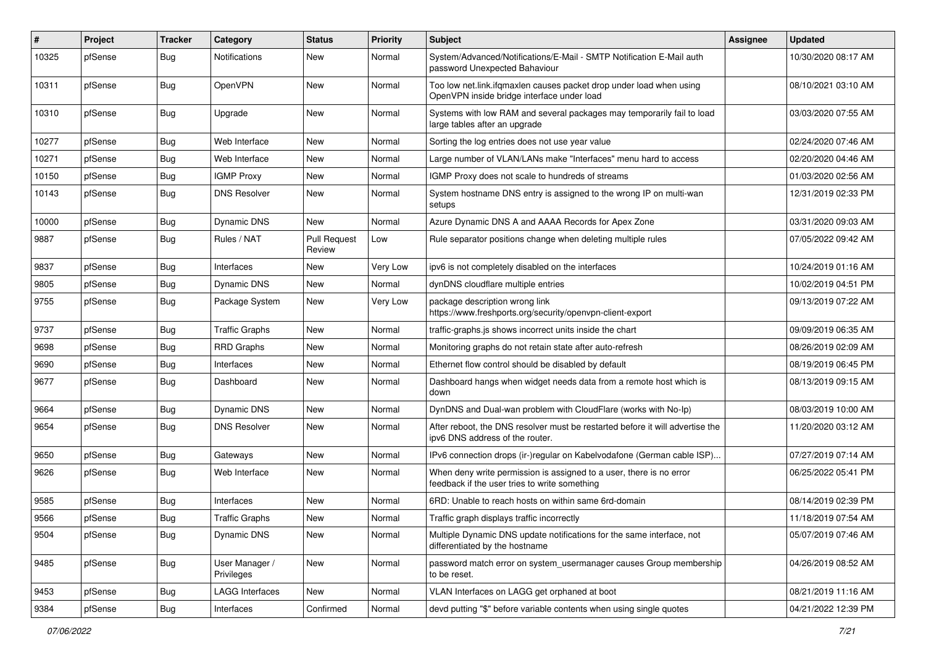| #     | Project | <b>Tracker</b> | Category                     | <b>Status</b>                 | <b>Priority</b> | <b>Subject</b>                                                                                                       | <b>Assignee</b> | <b>Updated</b>      |
|-------|---------|----------------|------------------------------|-------------------------------|-----------------|----------------------------------------------------------------------------------------------------------------------|-----------------|---------------------|
| 10325 | pfSense | Bug            | <b>Notifications</b>         | New                           | Normal          | System/Advanced/Notifications/E-Mail - SMTP Notification E-Mail auth<br>password Unexpected Bahaviour                |                 | 10/30/2020 08:17 AM |
| 10311 | pfSense | Bug            | OpenVPN                      | New                           | Normal          | Too low net.link.ifqmaxlen causes packet drop under load when using<br>OpenVPN inside bridge interface under load    |                 | 08/10/2021 03:10 AM |
| 10310 | pfSense | Bug            | Upgrade                      | New                           | Normal          | Systems with low RAM and several packages may temporarily fail to load<br>large tables after an upgrade              |                 | 03/03/2020 07:55 AM |
| 10277 | pfSense | Bug            | Web Interface                | New                           | Normal          | Sorting the log entries does not use year value                                                                      |                 | 02/24/2020 07:46 AM |
| 10271 | pfSense | <b>Bug</b>     | Web Interface                | New                           | Normal          | Large number of VLAN/LANs make "Interfaces" menu hard to access                                                      |                 | 02/20/2020 04:46 AM |
| 10150 | pfSense | Bug            | <b>IGMP Proxy</b>            | New                           | Normal          | IGMP Proxy does not scale to hundreds of streams                                                                     |                 | 01/03/2020 02:56 AM |
| 10143 | pfSense | Bug            | <b>DNS Resolver</b>          | <b>New</b>                    | Normal          | System hostname DNS entry is assigned to the wrong IP on multi-wan<br>setups                                         |                 | 12/31/2019 02:33 PM |
| 10000 | pfSense | Bug            | Dynamic DNS                  | <b>New</b>                    | Normal          | Azure Dynamic DNS A and AAAA Records for Apex Zone                                                                   |                 | 03/31/2020 09:03 AM |
| 9887  | pfSense | <b>Bug</b>     | Rules / NAT                  | <b>Pull Request</b><br>Review | Low             | Rule separator positions change when deleting multiple rules                                                         |                 | 07/05/2022 09:42 AM |
| 9837  | pfSense | Bug            | Interfaces                   | New                           | Very Low        | ipv6 is not completely disabled on the interfaces                                                                    |                 | 10/24/2019 01:16 AM |
| 9805  | pfSense | <b>Bug</b>     | <b>Dynamic DNS</b>           | <b>New</b>                    | Normal          | dynDNS cloudflare multiple entries                                                                                   |                 | 10/02/2019 04:51 PM |
| 9755  | pfSense | Bug            | Package System               | New                           | Very Low        | package description wrong link<br>https://www.freshports.org/security/openvpn-client-export                          |                 | 09/13/2019 07:22 AM |
| 9737  | pfSense | Bug            | <b>Traffic Graphs</b>        | New                           | Normal          | traffic-graphs.js shows incorrect units inside the chart                                                             |                 | 09/09/2019 06:35 AM |
| 9698  | pfSense | Bug            | <b>RRD Graphs</b>            | <b>New</b>                    | Normal          | Monitoring graphs do not retain state after auto-refresh                                                             |                 | 08/26/2019 02:09 AM |
| 9690  | pfSense | Bug            | Interfaces                   | New                           | Normal          | Ethernet flow control should be disabled by default                                                                  |                 | 08/19/2019 06:45 PM |
| 9677  | pfSense | Bug            | Dashboard                    | <b>New</b>                    | Normal          | Dashboard hangs when widget needs data from a remote host which is<br>down                                           |                 | 08/13/2019 09:15 AM |
| 9664  | pfSense | <b>Bug</b>     | Dynamic DNS                  | <b>New</b>                    | Normal          | DynDNS and Dual-wan problem with CloudFlare (works with No-Ip)                                                       |                 | 08/03/2019 10:00 AM |
| 9654  | pfSense | Bug            | <b>DNS Resolver</b>          | New                           | Normal          | After reboot, the DNS resolver must be restarted before it will advertise the<br>ipv6 DNS address of the router.     |                 | 11/20/2020 03:12 AM |
| 9650  | pfSense | Bug            | Gateways                     | <b>New</b>                    | Normal          | IPv6 connection drops (ir-)regular on Kabelvodafone (German cable ISP)                                               |                 | 07/27/2019 07:14 AM |
| 9626  | pfSense | Bug            | Web Interface                | <b>New</b>                    | Normal          | When deny write permission is assigned to a user, there is no error<br>feedback if the user tries to write something |                 | 06/25/2022 05:41 PM |
| 9585  | pfSense | Bug            | Interfaces                   | New                           | Normal          | 6RD: Unable to reach hosts on within same 6rd-domain                                                                 |                 | 08/14/2019 02:39 PM |
| 9566  | pfSense | Bug            | <b>Traffic Graphs</b>        | <b>New</b>                    | Normal          | Traffic graph displays traffic incorrectly                                                                           |                 | 11/18/2019 07:54 AM |
| 9504  | pfSense | <b>Bug</b>     | <b>Dynamic DNS</b>           | New                           | Normal          | Multiple Dynamic DNS update notifications for the same interface, not<br>differentiated by the hostname              |                 | 05/07/2019 07:46 AM |
| 9485  | pfSense | <b>Bug</b>     | User Manager /<br>Privileges | New                           | Normal          | password match error on system usermanager causes Group membership<br>to be reset.                                   |                 | 04/26/2019 08:52 AM |
| 9453  | pfSense | <b>Bug</b>     | <b>LAGG Interfaces</b>       | New                           | Normal          | VLAN Interfaces on LAGG get orphaned at boot                                                                         |                 | 08/21/2019 11:16 AM |
| 9384  | pfSense | <b>Bug</b>     | Interfaces                   | Confirmed                     | Normal          | devd putting "\$" before variable contents when using single quotes                                                  |                 | 04/21/2022 12:39 PM |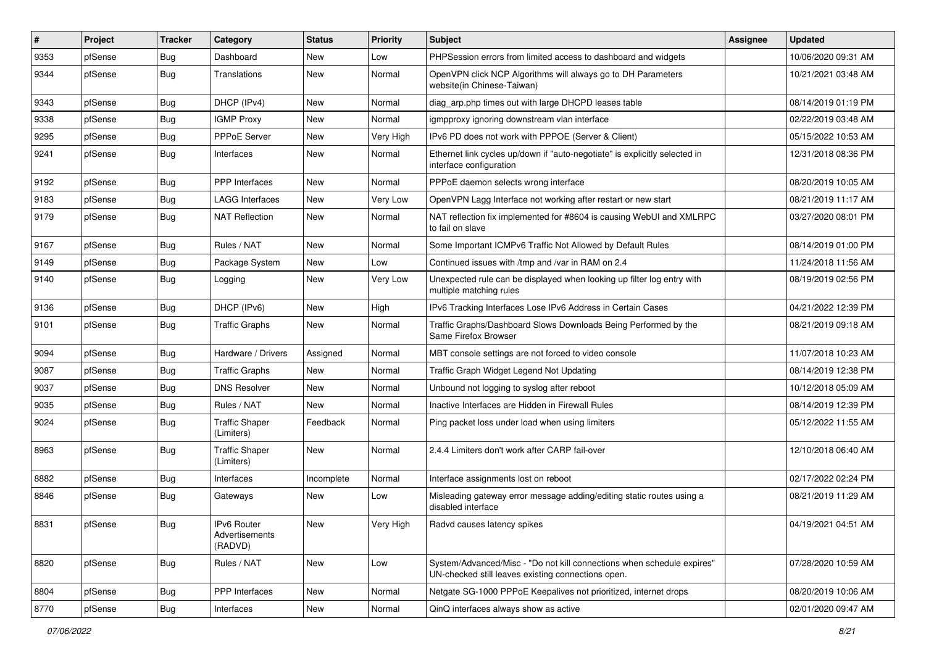| ∦    | Project | <b>Tracker</b> | Category                                 | <b>Status</b> | <b>Priority</b> | Subject                                                                                                                      | <b>Assignee</b> | <b>Updated</b>      |
|------|---------|----------------|------------------------------------------|---------------|-----------------|------------------------------------------------------------------------------------------------------------------------------|-----------------|---------------------|
| 9353 | pfSense | <b>Bug</b>     | Dashboard                                | New           | Low             | PHPSession errors from limited access to dashboard and widgets                                                               |                 | 10/06/2020 09:31 AM |
| 9344 | pfSense | Bug            | Translations                             | New           | Normal          | OpenVPN click NCP Algorithms will always go to DH Parameters<br>website(in Chinese-Taiwan)                                   |                 | 10/21/2021 03:48 AM |
| 9343 | pfSense | <b>Bug</b>     | DHCP (IPv4)                              | New           | Normal          | diag arp.php times out with large DHCPD leases table                                                                         |                 | 08/14/2019 01:19 PM |
| 9338 | pfSense | <b>Bug</b>     | <b>IGMP Proxy</b>                        | New           | Normal          | igmpproxy ignoring downstream vlan interface                                                                                 |                 | 02/22/2019 03:48 AM |
| 9295 | pfSense | <b>Bug</b>     | PPPoE Server                             | New           | Very High       | IPv6 PD does not work with PPPOE (Server & Client)                                                                           |                 | 05/15/2022 10:53 AM |
| 9241 | pfSense | Bug            | Interfaces                               | New           | Normal          | Ethernet link cycles up/down if "auto-negotiate" is explicitly selected in<br>interface configuration                        |                 | 12/31/2018 08:36 PM |
| 9192 | pfSense | <b>Bug</b>     | PPP Interfaces                           | New           | Normal          | PPPoE daemon selects wrong interface                                                                                         |                 | 08/20/2019 10:05 AM |
| 9183 | pfSense | Bug            | LAGG Interfaces                          | New           | Very Low        | OpenVPN Lagg Interface not working after restart or new start                                                                |                 | 08/21/2019 11:17 AM |
| 9179 | pfSense | Bug            | <b>NAT Reflection</b>                    | New           | Normal          | NAT reflection fix implemented for #8604 is causing WebUI and XMLRPC<br>to fail on slave                                     |                 | 03/27/2020 08:01 PM |
| 9167 | pfSense | Bug            | Rules / NAT                              | <b>New</b>    | Normal          | Some Important ICMPv6 Traffic Not Allowed by Default Rules                                                                   |                 | 08/14/2019 01:00 PM |
| 9149 | pfSense | <b>Bug</b>     | Package System                           | New           | Low             | Continued issues with /tmp and /var in RAM on 2.4                                                                            |                 | 11/24/2018 11:56 AM |
| 9140 | pfSense | <b>Bug</b>     | Logging                                  | New           | Very Low        | Unexpected rule can be displayed when looking up filter log entry with<br>multiple matching rules                            |                 | 08/19/2019 02:56 PM |
| 9136 | pfSense | Bug            | DHCP (IPv6)                              | New           | High            | IPv6 Tracking Interfaces Lose IPv6 Address in Certain Cases                                                                  |                 | 04/21/2022 12:39 PM |
| 9101 | pfSense | Bug            | <b>Traffic Graphs</b>                    | New           | Normal          | Traffic Graphs/Dashboard Slows Downloads Being Performed by the<br>Same Firefox Browser                                      |                 | 08/21/2019 09:18 AM |
| 9094 | pfSense | Bug            | Hardware / Drivers                       | Assigned      | Normal          | MBT console settings are not forced to video console                                                                         |                 | 11/07/2018 10:23 AM |
| 9087 | pfSense | Bug            | <b>Traffic Graphs</b>                    | New           | Normal          | Traffic Graph Widget Legend Not Updating                                                                                     |                 | 08/14/2019 12:38 PM |
| 9037 | pfSense | <b>Bug</b>     | <b>DNS Resolver</b>                      | New           | Normal          | Unbound not logging to syslog after reboot                                                                                   |                 | 10/12/2018 05:09 AM |
| 9035 | pfSense | <b>Bug</b>     | Rules / NAT                              | New           | Normal          | Inactive Interfaces are Hidden in Firewall Rules                                                                             |                 | 08/14/2019 12:39 PM |
| 9024 | pfSense | Bug            | <b>Traffic Shaper</b><br>(Limiters)      | Feedback      | Normal          | Ping packet loss under load when using limiters                                                                              |                 | 05/12/2022 11:55 AM |
| 8963 | pfSense | Bug            | <b>Traffic Shaper</b><br>(Limiters)      | New           | Normal          | 2.4.4 Limiters don't work after CARP fail-over                                                                               |                 | 12/10/2018 06:40 AM |
| 8882 | pfSense | Bug            | Interfaces                               | Incomplete    | Normal          | Interface assignments lost on reboot                                                                                         |                 | 02/17/2022 02:24 PM |
| 8846 | pfSense | <b>Bug</b>     | Gateways                                 | New           | Low             | Misleading gateway error message adding/editing static routes using a<br>disabled interface                                  |                 | 08/21/2019 11:29 AM |
| 8831 | pfSense | Bug            | IPv6 Router<br>Advertisements<br>(RADVD) | New           | Very High       | Radvd causes latency spikes                                                                                                  |                 | 04/19/2021 04:51 AM |
| 8820 | pfSense | Bug            | Rules / NAT                              | New           | Low             | System/Advanced/Misc - "Do not kill connections when schedule expires"<br>UN-checked still leaves existing connections open. |                 | 07/28/2020 10:59 AM |
| 8804 | pfSense | <b>Bug</b>     | <b>PPP</b> Interfaces                    | New           | Normal          | Netgate SG-1000 PPPoE Keepalives not prioritized, internet drops                                                             |                 | 08/20/2019 10:06 AM |
| 8770 | pfSense | Bug            | Interfaces                               | New           | Normal          | QinQ interfaces always show as active                                                                                        |                 | 02/01/2020 09:47 AM |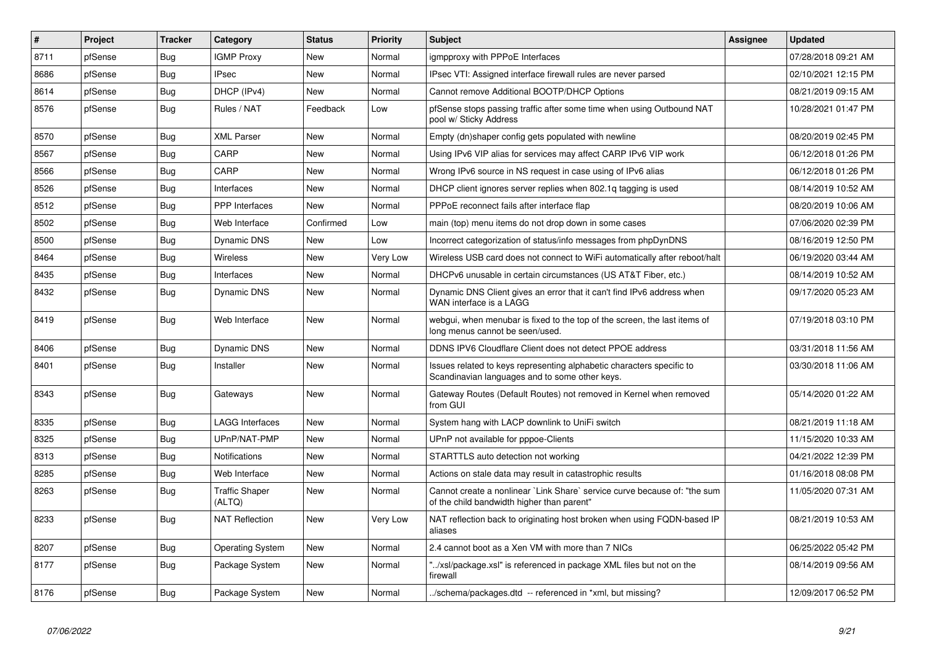| #    | <b>Project</b> | <b>Tracker</b> | Category                        | <b>Status</b> | <b>Priority</b> | <b>Subject</b>                                                                                                          | <b>Assignee</b> | <b>Updated</b>      |
|------|----------------|----------------|---------------------------------|---------------|-----------------|-------------------------------------------------------------------------------------------------------------------------|-----------------|---------------------|
| 8711 | pfSense        | Bug            | <b>IGMP Proxy</b>               | <b>New</b>    | Normal          | igmpproxy with PPPoE Interfaces                                                                                         |                 | 07/28/2018 09:21 AM |
| 8686 | pfSense        | <b>Bug</b>     | <b>IPsec</b>                    | New           | Normal          | IPsec VTI: Assigned interface firewall rules are never parsed                                                           |                 | 02/10/2021 12:15 PM |
| 8614 | pfSense        | Bug            | DHCP (IPv4)                     | <b>New</b>    | Normal          | Cannot remove Additional BOOTP/DHCP Options                                                                             |                 | 08/21/2019 09:15 AM |
| 8576 | pfSense        | <b>Bug</b>     | Rules / NAT                     | Feedback      | Low             | pfSense stops passing traffic after some time when using Outbound NAT<br>pool w/ Sticky Address                         |                 | 10/28/2021 01:47 PM |
| 8570 | pfSense        | Bug            | <b>XML Parser</b>               | New           | Normal          | Empty (dn)shaper config gets populated with newline                                                                     |                 | 08/20/2019 02:45 PM |
| 8567 | pfSense        | <b>Bug</b>     | CARP                            | New           | Normal          | Using IPv6 VIP alias for services may affect CARP IPv6 VIP work                                                         |                 | 06/12/2018 01:26 PM |
| 8566 | pfSense        | Bug            | CARP                            | New           | Normal          | Wrong IPv6 source in NS request in case using of IPv6 alias                                                             |                 | 06/12/2018 01:26 PM |
| 8526 | pfSense        | Bug            | Interfaces                      | New           | Normal          | DHCP client ignores server replies when 802.1g tagging is used                                                          |                 | 08/14/2019 10:52 AM |
| 8512 | pfSense        | Bug            | <b>PPP</b> Interfaces           | <b>New</b>    | Normal          | PPPoE reconnect fails after interface flap                                                                              |                 | 08/20/2019 10:06 AM |
| 8502 | pfSense        | <b>Bug</b>     | Web Interface                   | Confirmed     | Low             | main (top) menu items do not drop down in some cases                                                                    |                 | 07/06/2020 02:39 PM |
| 8500 | pfSense        | <b>Bug</b>     | <b>Dynamic DNS</b>              | <b>New</b>    | Low             | Incorrect categorization of status/info messages from phpDynDNS                                                         |                 | 08/16/2019 12:50 PM |
| 8464 | pfSense        | <b>Bug</b>     | <b>Wireless</b>                 | <b>New</b>    | <b>Very Low</b> | Wireless USB card does not connect to WiFi automatically after reboot/halt                                              |                 | 06/19/2020 03:44 AM |
| 8435 | pfSense        | <b>Bug</b>     | Interfaces                      | New           | Normal          | DHCPv6 unusable in certain circumstances (US AT&T Fiber, etc.)                                                          |                 | 08/14/2019 10:52 AM |
| 8432 | pfSense        | <b>Bug</b>     | <b>Dynamic DNS</b>              | <b>New</b>    | Normal          | Dynamic DNS Client gives an error that it can't find IPv6 address when<br>WAN interface is a LAGG                       |                 | 09/17/2020 05:23 AM |
| 8419 | pfSense        | Bug            | Web Interface                   | <b>New</b>    | Normal          | webgui, when menubar is fixed to the top of the screen, the last items of<br>long menus cannot be seen/used.            |                 | 07/19/2018 03:10 PM |
| 8406 | pfSense        | Bug            | <b>Dynamic DNS</b>              | New           | Normal          | DDNS IPV6 Cloudflare Client does not detect PPOE address                                                                |                 | 03/31/2018 11:56 AM |
| 8401 | pfSense        | Bug            | Installer                       | New           | Normal          | Issues related to keys representing alphabetic characters specific to<br>Scandinavian languages and to some other keys. |                 | 03/30/2018 11:06 AM |
| 8343 | pfSense        | Bug            | Gateways                        | <b>New</b>    | Normal          | Gateway Routes (Default Routes) not removed in Kernel when removed<br>from GUI                                          |                 | 05/14/2020 01:22 AM |
| 8335 | pfSense        | Bug            | <b>LAGG Interfaces</b>          | New           | Normal          | System hang with LACP downlink to UniFi switch                                                                          |                 | 08/21/2019 11:18 AM |
| 8325 | pfSense        | <b>Bug</b>     | UPnP/NAT-PMP                    | <b>New</b>    | Normal          | UPnP not available for pppoe-Clients                                                                                    |                 | 11/15/2020 10:33 AM |
| 8313 | pfSense        | Bug            | <b>Notifications</b>            | <b>New</b>    | Normal          | STARTTLS auto detection not working                                                                                     |                 | 04/21/2022 12:39 PM |
| 8285 | pfSense        | Bug            | Web Interface                   | <b>New</b>    | Normal          | Actions on stale data may result in catastrophic results                                                                |                 | 01/16/2018 08:08 PM |
| 8263 | pfSense        | <b>Bug</b>     | <b>Traffic Shaper</b><br>(ALTQ) | <b>New</b>    | Normal          | Cannot create a nonlinear `Link Share` service curve because of: "the sum<br>of the child bandwidth higher than parent" |                 | 11/05/2020 07:31 AM |
| 8233 | pfSense        | Bug            | <b>NAT Reflection</b>           | New           | Very Low        | NAT reflection back to originating host broken when using FQDN-based IP<br>aliases                                      |                 | 08/21/2019 10:53 AM |
| 8207 | pfSense        | Bug            | <b>Operating System</b>         | <b>New</b>    | Normal          | 2.4 cannot boot as a Xen VM with more than 7 NICs                                                                       |                 | 06/25/2022 05:42 PM |
| 8177 | pfSense        | <b>Bug</b>     | Package System                  | New           | Normal          | '/xsl/package.xsl" is referenced in package XML files but not on the<br>firewall                                        |                 | 08/14/2019 09:56 AM |
| 8176 | pfSense        | Bug            | Package System                  | <b>New</b>    | Normal          | ./schema/packages.dtd -- referenced in *xml, but missing?                                                               |                 | 12/09/2017 06:52 PM |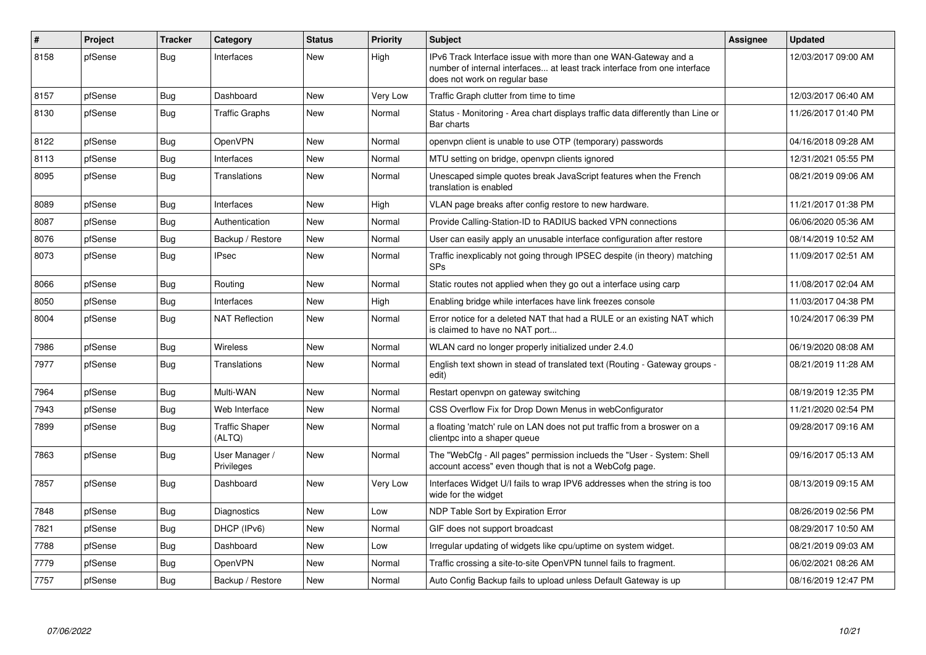| #    | Project | <b>Tracker</b> | Category                        | <b>Status</b> | <b>Priority</b> | <b>Subject</b>                                                                                                                                                                | <b>Assignee</b> | <b>Updated</b>      |
|------|---------|----------------|---------------------------------|---------------|-----------------|-------------------------------------------------------------------------------------------------------------------------------------------------------------------------------|-----------------|---------------------|
| 8158 | pfSense | <b>Bug</b>     | Interfaces                      | <b>New</b>    | High            | IPv6 Track Interface issue with more than one WAN-Gateway and a<br>number of internal interfaces at least track interface from one interface<br>does not work on regular base |                 | 12/03/2017 09:00 AM |
| 8157 | pfSense | Bug            | Dashboard                       | New           | Very Low        | Traffic Graph clutter from time to time                                                                                                                                       |                 | 12/03/2017 06:40 AM |
| 8130 | pfSense | Bug            | <b>Traffic Graphs</b>           | New           | Normal          | Status - Monitoring - Area chart displays traffic data differently than Line or<br>Bar charts                                                                                 |                 | 11/26/2017 01:40 PM |
| 8122 | pfSense | Bug            | OpenVPN                         | <b>New</b>    | Normal          | openvpn client is unable to use OTP (temporary) passwords                                                                                                                     |                 | 04/16/2018 09:28 AM |
| 8113 | pfSense | <b>Bug</b>     | Interfaces                      | New           | Normal          | MTU setting on bridge, openvpn clients ignored                                                                                                                                |                 | 12/31/2021 05:55 PM |
| 8095 | pfSense | Bug            | Translations                    | <b>New</b>    | Normal          | Unescaped simple quotes break JavaScript features when the French<br>translation is enabled                                                                                   |                 | 08/21/2019 09:06 AM |
| 8089 | pfSense | <b>Bug</b>     | Interfaces                      | <b>New</b>    | High            | VLAN page breaks after config restore to new hardware.                                                                                                                        |                 | 11/21/2017 01:38 PM |
| 8087 | pfSense | Bug            | Authentication                  | <b>New</b>    | Normal          | Provide Calling-Station-ID to RADIUS backed VPN connections                                                                                                                   |                 | 06/06/2020 05:36 AM |
| 8076 | pfSense | Bug            | Backup / Restore                | New           | Normal          | User can easily apply an unusable interface configuration after restore                                                                                                       |                 | 08/14/2019 10:52 AM |
| 8073 | pfSense | Bug            | <b>IPsec</b>                    | New           | Normal          | Traffic inexplicably not going through IPSEC despite (in theory) matching<br><b>SPs</b>                                                                                       |                 | 11/09/2017 02:51 AM |
| 8066 | pfSense | Bug            | Routing                         | New           | Normal          | Static routes not applied when they go out a interface using carp                                                                                                             |                 | 11/08/2017 02:04 AM |
| 8050 | pfSense | <b>Bug</b>     | Interfaces                      | New           | High            | Enabling bridge while interfaces have link freezes console                                                                                                                    |                 | 11/03/2017 04:38 PM |
| 8004 | pfSense | Bug            | <b>NAT Reflection</b>           | New           | Normal          | Error notice for a deleted NAT that had a RULE or an existing NAT which<br>is claimed to have no NAT port                                                                     |                 | 10/24/2017 06:39 PM |
| 7986 | pfSense | Bug            | Wireless                        | New           | Normal          | WLAN card no longer properly initialized under 2.4.0                                                                                                                          |                 | 06/19/2020 08:08 AM |
| 7977 | pfSense | Bug            | Translations                    | New           | Normal          | English text shown in stead of translated text (Routing - Gateway groups -<br>edit)                                                                                           |                 | 08/21/2019 11:28 AM |
| 7964 | pfSense | Bug            | Multi-WAN                       | New           | Normal          | Restart openvpn on gateway switching                                                                                                                                          |                 | 08/19/2019 12:35 PM |
| 7943 | pfSense | <b>Bug</b>     | Web Interface                   | <b>New</b>    | Normal          | CSS Overflow Fix for Drop Down Menus in webConfigurator                                                                                                                       |                 | 11/21/2020 02:54 PM |
| 7899 | pfSense | <b>Bug</b>     | <b>Traffic Shaper</b><br>(ALTQ) | <b>New</b>    | Normal          | a floating 'match' rule on LAN does not put traffic from a broswer on a<br>clientpc into a shaper queue                                                                       |                 | 09/28/2017 09:16 AM |
| 7863 | pfSense | Bug            | User Manager /<br>Privileges    | <b>New</b>    | Normal          | The "WebCfg - All pages" permission inclueds the "User - System: Shell<br>account access" even though that is not a WebCofg page.                                             |                 | 09/16/2017 05:13 AM |
| 7857 | pfSense | <b>Bug</b>     | Dashboard                       | <b>New</b>    | Very Low        | Interfaces Widget U/I fails to wrap IPV6 addresses when the string is too<br>wide for the widget                                                                              |                 | 08/13/2019 09:15 AM |
| 7848 | pfSense | <b>Bug</b>     | Diagnostics                     | New           | Low             | NDP Table Sort by Expiration Error                                                                                                                                            |                 | 08/26/2019 02:56 PM |
| 7821 | pfSense | Bug            | DHCP (IPv6)                     | New           | Normal          | GIF does not support broadcast                                                                                                                                                |                 | 08/29/2017 10:50 AM |
| 7788 | pfSense | Bug            | Dashboard                       | New           | Low             | Irregular updating of widgets like cpu/uptime on system widget.                                                                                                               |                 | 08/21/2019 09:03 AM |
| 7779 | pfSense | Bug            | <b>OpenVPN</b>                  | <b>New</b>    | Normal          | Traffic crossing a site-to-site OpenVPN tunnel fails to fragment.                                                                                                             |                 | 06/02/2021 08:26 AM |
| 7757 | pfSense | Bug            | Backup / Restore                | New           | Normal          | Auto Config Backup fails to upload unless Default Gateway is up                                                                                                               |                 | 08/16/2019 12:47 PM |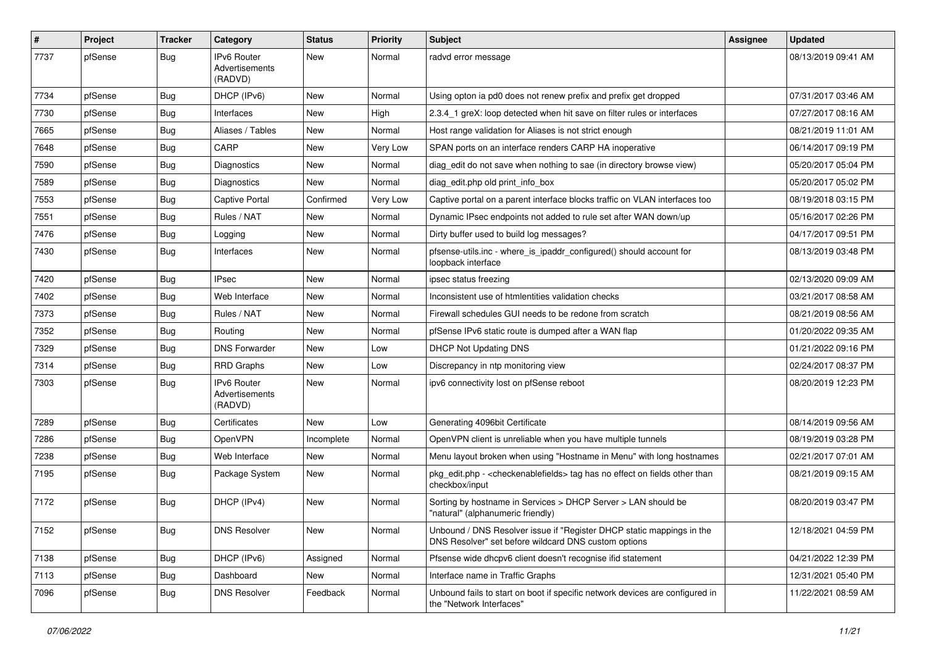| $\vert$ # | Project | <b>Tracker</b> | Category                                        | <b>Status</b> | <b>Priority</b> | <b>Subject</b>                                                                                                                | <b>Assignee</b> | <b>Updated</b>      |
|-----------|---------|----------------|-------------------------------------------------|---------------|-----------------|-------------------------------------------------------------------------------------------------------------------------------|-----------------|---------------------|
| 7737      | pfSense | <b>Bug</b>     | IPv6 Router<br>Advertisements<br>(RADVD)        | New           | Normal          | radvd error message                                                                                                           |                 | 08/13/2019 09:41 AM |
| 7734      | pfSense | <b>Bug</b>     | DHCP (IPv6)                                     | New           | Normal          | Using opton ia pd0 does not renew prefix and prefix get dropped                                                               |                 | 07/31/2017 03:46 AM |
| 7730      | pfSense | <b>Bug</b>     | Interfaces                                      | <b>New</b>    | High            | 2.3.4 1 greX: loop detected when hit save on filter rules or interfaces                                                       |                 | 07/27/2017 08:16 AM |
| 7665      | pfSense | <b>Bug</b>     | Aliases / Tables                                | New           | Normal          | Host range validation for Aliases is not strict enough                                                                        |                 | 08/21/2019 11:01 AM |
| 7648      | pfSense | <b>Bug</b>     | CARP                                            | New           | <b>Very Low</b> | SPAN ports on an interface renders CARP HA inoperative                                                                        |                 | 06/14/2017 09:19 PM |
| 7590      | pfSense | <b>Bug</b>     | Diagnostics                                     | New           | Normal          | diag_edit do not save when nothing to sae (in directory browse view)                                                          |                 | 05/20/2017 05:04 PM |
| 7589      | pfSense | <b>Bug</b>     | <b>Diagnostics</b>                              | New           | Normal          | diag_edit.php old print_info_box                                                                                              |                 | 05/20/2017 05:02 PM |
| 7553      | pfSense | <b>Bug</b>     | <b>Captive Portal</b>                           | Confirmed     | <b>Very Low</b> | Captive portal on a parent interface blocks traffic on VLAN interfaces too                                                    |                 | 08/19/2018 03:15 PM |
| 7551      | pfSense | <b>Bug</b>     | Rules / NAT                                     | New           | Normal          | Dynamic IPsec endpoints not added to rule set after WAN down/up                                                               |                 | 05/16/2017 02:26 PM |
| 7476      | pfSense | Bug            | Logging                                         | New           | Normal          | Dirty buffer used to build log messages?                                                                                      |                 | 04/17/2017 09:51 PM |
| 7430      | pfSense | Bug            | Interfaces                                      | New           | Normal          | pfsense-utils.inc - where_is_ipaddr_configured() should account for<br>loopback interface                                     |                 | 08/13/2019 03:48 PM |
| 7420      | pfSense | <b>Bug</b>     | <b>IPsec</b>                                    | New           | Normal          | ipsec status freezing                                                                                                         |                 | 02/13/2020 09:09 AM |
| 7402      | pfSense | <b>Bug</b>     | Web Interface                                   | New           | Normal          | Inconsistent use of htmlentities validation checks                                                                            |                 | 03/21/2017 08:58 AM |
| 7373      | pfSense | <b>Bug</b>     | Rules / NAT                                     | New           | Normal          | Firewall schedules GUI needs to be redone from scratch                                                                        |                 | 08/21/2019 08:56 AM |
| 7352      | pfSense | <b>Bug</b>     | Routing                                         | New           | Normal          | pfSense IPv6 static route is dumped after a WAN flap                                                                          |                 | 01/20/2022 09:35 AM |
| 7329      | pfSense | <b>Bug</b>     | <b>DNS Forwarder</b>                            | New           | Low             | <b>DHCP Not Updating DNS</b>                                                                                                  |                 | 01/21/2022 09:16 PM |
| 7314      | pfSense | <b>Bug</b>     | <b>RRD Graphs</b>                               | New           | Low             | Discrepancy in ntp monitoring view                                                                                            |                 | 02/24/2017 08:37 PM |
| 7303      | pfSense | <b>Bug</b>     | <b>IPv6 Router</b><br>Advertisements<br>(RADVD) | New           | Normal          | ipv6 connectivity lost on pfSense reboot                                                                                      |                 | 08/20/2019 12:23 PM |
| 7289      | pfSense | <b>Bug</b>     | Certificates                                    | <b>New</b>    | Low             | Generating 4096bit Certificate                                                                                                |                 | 08/14/2019 09:56 AM |
| 7286      | pfSense | <b>Bug</b>     | OpenVPN                                         | Incomplete    | Normal          | OpenVPN client is unreliable when you have multiple tunnels                                                                   |                 | 08/19/2019 03:28 PM |
| 7238      | pfSense | Bug            | Web Interface                                   | <b>New</b>    | Normal          | Menu layout broken when using "Hostname in Menu" with long hostnames                                                          |                 | 02/21/2017 07:01 AM |
| 7195      | pfSense | Bug            | Package System                                  | New           | Normal          | pkg_edit.php - < checkenable fields > tag has no effect on fields other than<br>checkbox/input                                |                 | 08/21/2019 09:15 AM |
| 7172      | pfSense | <b>Bug</b>     | DHCP (IPv4)                                     | New           | Normal          | Sorting by hostname in Services > DHCP Server > LAN should be<br>"natural" (alphanumeric friendly)                            |                 | 08/20/2019 03:47 PM |
| 7152      | pfSense | Bug            | <b>DNS Resolver</b>                             | New           | Normal          | Unbound / DNS Resolver issue if "Register DHCP static mappings in the<br>DNS Resolver" set before wildcard DNS custom options |                 | 12/18/2021 04:59 PM |
| 7138      | pfSense | <b>Bug</b>     | DHCP (IPv6)                                     | Assigned      | Normal          | Pfsense wide dhcpv6 client doesn't recognise ifid statement                                                                   |                 | 04/21/2022 12:39 PM |
| 7113      | pfSense | <b>Bug</b>     | Dashboard                                       | New           | Normal          | Interface name in Traffic Graphs                                                                                              |                 | 12/31/2021 05:40 PM |
| 7096      | pfSense | <b>Bug</b>     | <b>DNS Resolver</b>                             | Feedback      | Normal          | Unbound fails to start on boot if specific network devices are configured in<br>the "Network Interfaces"                      |                 | 11/22/2021 08:59 AM |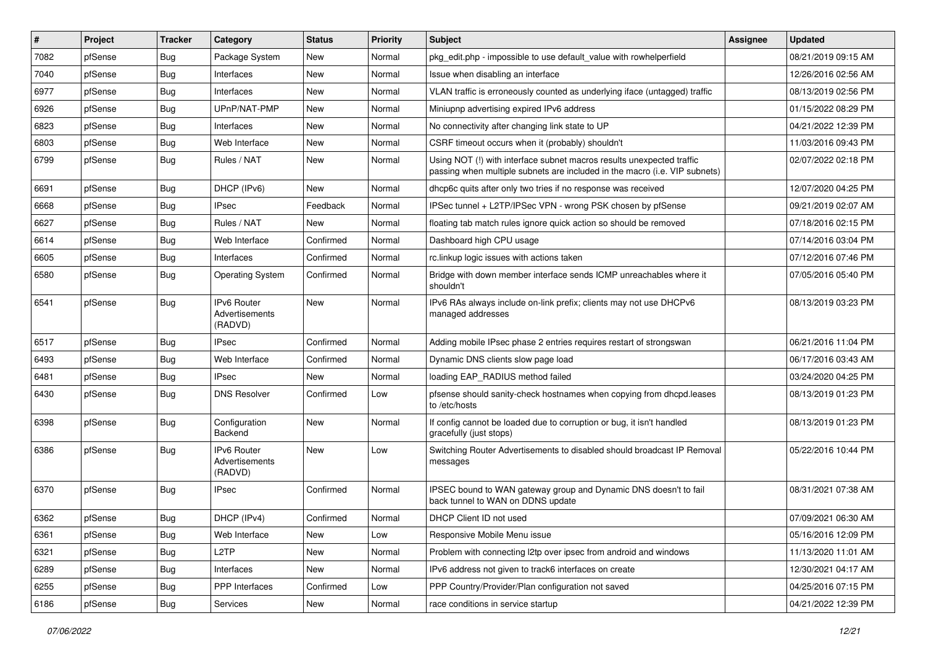| $\vert$ # | Project | <b>Tracker</b>   | Category                                        | <b>Status</b> | <b>Priority</b> | Subject                                                                                                                                             | Assignee | <b>Updated</b>      |
|-----------|---------|------------------|-------------------------------------------------|---------------|-----------------|-----------------------------------------------------------------------------------------------------------------------------------------------------|----------|---------------------|
| 7082      | pfSense | <b>Bug</b>       | Package System                                  | New           | Normal          | pkg edit.php - impossible to use default value with rowhelperfield                                                                                  |          | 08/21/2019 09:15 AM |
| 7040      | pfSense | Bug              | Interfaces                                      | <b>New</b>    | Normal          | Issue when disabling an interface                                                                                                                   |          | 12/26/2016 02:56 AM |
| 6977      | pfSense | Bug              | Interfaces                                      | New           | Normal          | VLAN traffic is erroneously counted as underlying iface (untagged) traffic                                                                          |          | 08/13/2019 02:56 PM |
| 6926      | pfSense | <b>Bug</b>       | UPnP/NAT-PMP                                    | New           | Normal          | Miniupnp advertising expired IPv6 address                                                                                                           |          | 01/15/2022 08:29 PM |
| 6823      | pfSense | Bug              | Interfaces                                      | <b>New</b>    | Normal          | No connectivity after changing link state to UP                                                                                                     |          | 04/21/2022 12:39 PM |
| 6803      | pfSense | <b>Bug</b>       | Web Interface                                   | New           | Normal          | CSRF timeout occurs when it (probably) shouldn't                                                                                                    |          | 11/03/2016 09:43 PM |
| 6799      | pfSense | Bug              | Rules / NAT                                     | New           | Normal          | Using NOT (!) with interface subnet macros results unexpected traffic<br>passing when multiple subnets are included in the macro (i.e. VIP subnets) |          | 02/07/2022 02:18 PM |
| 6691      | pfSense | Bug              | DHCP (IPv6)                                     | <b>New</b>    | Normal          | dhcp6c quits after only two tries if no response was received                                                                                       |          | 12/07/2020 04:25 PM |
| 6668      | pfSense | Bug              | <b>IPsec</b>                                    | Feedback      | Normal          | IPSec tunnel + L2TP/IPSec VPN - wrong PSK chosen by pfSense                                                                                         |          | 09/21/2019 02:07 AM |
| 6627      | pfSense | <b>Bug</b>       | Rules / NAT                                     | New           | Normal          | floating tab match rules ignore quick action so should be removed                                                                                   |          | 07/18/2016 02:15 PM |
| 6614      | pfSense | <b>Bug</b>       | Web Interface                                   | Confirmed     | Normal          | Dashboard high CPU usage                                                                                                                            |          | 07/14/2016 03:04 PM |
| 6605      | pfSense | Bug              | Interfaces                                      | Confirmed     | Normal          | rc.linkup logic issues with actions taken                                                                                                           |          | 07/12/2016 07:46 PM |
| 6580      | pfSense | Bug              | <b>Operating System</b>                         | Confirmed     | Normal          | Bridge with down member interface sends ICMP unreachables where it<br>shouldn't                                                                     |          | 07/05/2016 05:40 PM |
| 6541      | pfSense | Bug              | IPv6 Router<br>Advertisements<br>(RADVD)        | <b>New</b>    | Normal          | IPv6 RAs always include on-link prefix; clients may not use DHCPv6<br>managed addresses                                                             |          | 08/13/2019 03:23 PM |
| 6517      | pfSense | <b>Bug</b>       | <b>IPsec</b>                                    | Confirmed     | Normal          | Adding mobile IPsec phase 2 entries requires restart of strongswan                                                                                  |          | 06/21/2016 11:04 PM |
| 6493      | pfSense | Bug              | Web Interface                                   | Confirmed     | Normal          | Dynamic DNS clients slow page load                                                                                                                  |          | 06/17/2016 03:43 AM |
| 6481      | pfSense | Bug              | IPsec                                           | <b>New</b>    | Normal          | loading EAP_RADIUS method failed                                                                                                                    |          | 03/24/2020 04:25 PM |
| 6430      | pfSense | Bug              | <b>DNS Resolver</b>                             | Confirmed     | Low             | pfsense should sanity-check hostnames when copying from dhcpd.leases<br>to /etc/hosts                                                               |          | 08/13/2019 01:23 PM |
| 6398      | pfSense | Bug              | Configuration<br>Backend                        | <b>New</b>    | Normal          | If config cannot be loaded due to corruption or bug, it isn't handled<br>gracefully (just stops)                                                    |          | 08/13/2019 01:23 PM |
| 6386      | pfSense | Bug              | <b>IPv6 Router</b><br>Advertisements<br>(RADVD) | <b>New</b>    | Low             | Switching Router Advertisements to disabled should broadcast IP Removal<br>messages                                                                 |          | 05/22/2016 10:44 PM |
| 6370      | pfSense | <b>Bug</b>       | <b>IPsec</b>                                    | Confirmed     | Normal          | IPSEC bound to WAN gateway group and Dynamic DNS doesn't to fail<br>back tunnel to WAN on DDNS update                                               |          | 08/31/2021 07:38 AM |
| 6362      | pfSense | Bug              | DHCP (IPv4)                                     | Confirmed     | Normal          | DHCP Client ID not used                                                                                                                             |          | 07/09/2021 06:30 AM |
| 6361      | pfSense | Bug              | Web Interface                                   | New           | Low             | Responsive Mobile Menu issue                                                                                                                        |          | 05/16/2016 12:09 PM |
| 6321      | pfSense | <b>Bug</b>       | L <sub>2</sub> TP                               | New           | Normal          | Problem with connecting I2tp over ipsec from android and windows                                                                                    |          | 11/13/2020 11:01 AM |
| 6289      | pfSense | Bug              | Interfaces                                      | New           | Normal          | IPv6 address not given to track6 interfaces on create                                                                                               |          | 12/30/2021 04:17 AM |
| 6255      | pfSense | <b>Bug</b>       | PPP Interfaces                                  | Confirmed     | Low             | PPP Country/Provider/Plan configuration not saved                                                                                                   |          | 04/25/2016 07:15 PM |
| 6186      | pfSense | <sub>i</sub> Bug | Services                                        | New           | Normal          | race conditions in service startup                                                                                                                  |          | 04/21/2022 12:39 PM |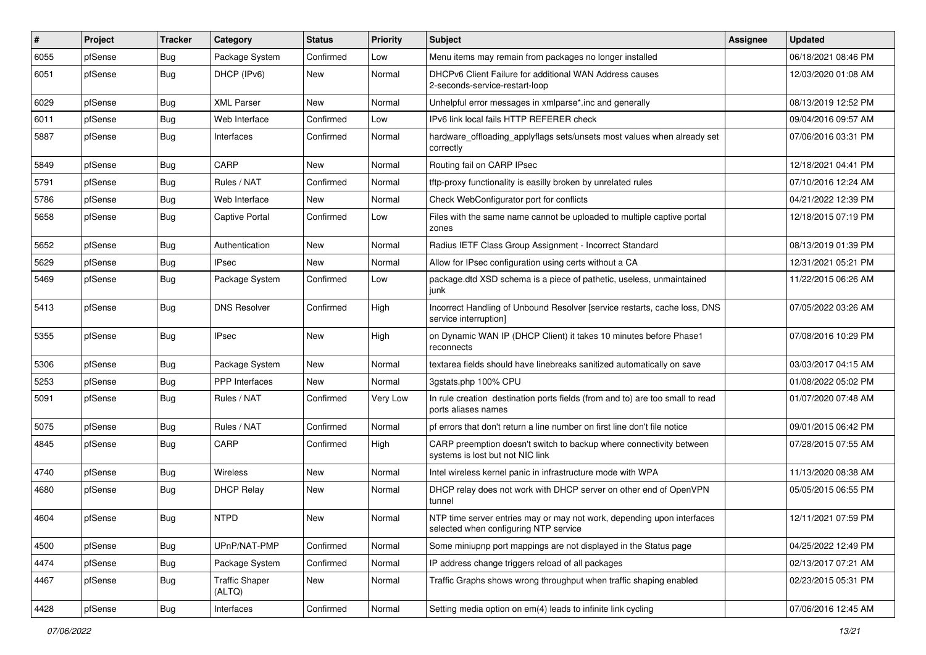| $\vert$ # | Project | <b>Tracker</b> | Category                        | <b>Status</b> | <b>Priority</b> | Subject                                                                                                         | <b>Assignee</b> | <b>Updated</b>      |
|-----------|---------|----------------|---------------------------------|---------------|-----------------|-----------------------------------------------------------------------------------------------------------------|-----------------|---------------------|
| 6055      | pfSense | <b>Bug</b>     | Package System                  | Confirmed     | Low             | Menu items may remain from packages no longer installed                                                         |                 | 06/18/2021 08:46 PM |
| 6051      | pfSense | <b>Bug</b>     | DHCP (IPv6)                     | New           | Normal          | DHCPv6 Client Failure for additional WAN Address causes<br>2-seconds-service-restart-loop                       |                 | 12/03/2020 01:08 AM |
| 6029      | pfSense | Bug            | <b>XML Parser</b>               | New           | Normal          | Unhelpful error messages in xmlparse*.inc and generally                                                         |                 | 08/13/2019 12:52 PM |
| 6011      | pfSense | <b>Bug</b>     | Web Interface                   | Confirmed     | Low             | IPv6 link local fails HTTP REFERER check                                                                        |                 | 09/04/2016 09:57 AM |
| 5887      | pfSense | <b>Bug</b>     | Interfaces                      | Confirmed     | Normal          | hardware_offloading_applyflags sets/unsets most values when already set<br>correctly                            |                 | 07/06/2016 03:31 PM |
| 5849      | pfSense | <b>Bug</b>     | CARP                            | <b>New</b>    | Normal          | Routing fail on CARP IPsec                                                                                      |                 | 12/18/2021 04:41 PM |
| 5791      | pfSense | Bug            | Rules / NAT                     | Confirmed     | Normal          | tftp-proxy functionality is easilly broken by unrelated rules                                                   |                 | 07/10/2016 12:24 AM |
| 5786      | pfSense | <b>Bug</b>     | Web Interface                   | New           | Normal          | Check WebConfigurator port for conflicts                                                                        |                 | 04/21/2022 12:39 PM |
| 5658      | pfSense | <b>Bug</b>     | <b>Captive Portal</b>           | Confirmed     | Low             | Files with the same name cannot be uploaded to multiple captive portal<br>zones                                 |                 | 12/18/2015 07:19 PM |
| 5652      | pfSense | Bug            | Authentication                  | <b>New</b>    | Normal          | Radius IETF Class Group Assignment - Incorrect Standard                                                         |                 | 08/13/2019 01:39 PM |
| 5629      | pfSense | <b>Bug</b>     | <b>IPsec</b>                    | New           | Normal          | Allow for IPsec configuration using certs without a CA                                                          |                 | 12/31/2021 05:21 PM |
| 5469      | pfSense | Bug            | Package System                  | Confirmed     | Low             | package.dtd XSD schema is a piece of pathetic, useless, unmaintained<br>junk                                    |                 | 11/22/2015 06:26 AM |
| 5413      | pfSense | Bug            | <b>DNS Resolver</b>             | Confirmed     | High            | Incorrect Handling of Unbound Resolver [service restarts, cache loss, DNS<br>service interruption]              |                 | 07/05/2022 03:26 AM |
| 5355      | pfSense | <b>Bug</b>     | <b>IPsec</b>                    | New           | High            | on Dynamic WAN IP (DHCP Client) it takes 10 minutes before Phase1<br>reconnects                                 |                 | 07/08/2016 10:29 PM |
| 5306      | pfSense | Bug            | Package System                  | <b>New</b>    | Normal          | textarea fields should have linebreaks sanitized automatically on save                                          |                 | 03/03/2017 04:15 AM |
| 5253      | pfSense | <b>Bug</b>     | <b>PPP</b> Interfaces           | New           | Normal          | 3gstats.php 100% CPU                                                                                            |                 | 01/08/2022 05:02 PM |
| 5091      | pfSense | <b>Bug</b>     | Rules / NAT                     | Confirmed     | Very Low        | In rule creation destination ports fields (from and to) are too small to read<br>ports aliases names            |                 | 01/07/2020 07:48 AM |
| 5075      | pfSense | <b>Bug</b>     | Rules / NAT                     | Confirmed     | Normal          | pf errors that don't return a line number on first line don't file notice                                       |                 | 09/01/2015 06:42 PM |
| 4845      | pfSense | <b>Bug</b>     | CARP                            | Confirmed     | High            | CARP preemption doesn't switch to backup where connectivity between<br>systems is lost but not NIC link         |                 | 07/28/2015 07:55 AM |
| 4740      | pfSense | Bug            | Wireless                        | New           | Normal          | Intel wireless kernel panic in infrastructure mode with WPA                                                     |                 | 11/13/2020 08:38 AM |
| 4680      | pfSense | <b>Bug</b>     | <b>DHCP Relay</b>               | New           | Normal          | DHCP relay does not work with DHCP server on other end of OpenVPN<br>tunnel                                     |                 | 05/05/2015 06:55 PM |
| 4604      | pfSense | Bug            | <b>NTPD</b>                     | New           | Normal          | NTP time server entries may or may not work, depending upon interfaces<br>selected when configuring NTP service |                 | 12/11/2021 07:59 PM |
| 4500      | pfSense | <b>Bug</b>     | UPnP/NAT-PMP                    | Confirmed     | Normal          | Some miniupnp port mappings are not displayed in the Status page                                                |                 | 04/25/2022 12:49 PM |
| 4474      | pfSense | <b>Bug</b>     | Package System                  | Confirmed     | Normal          | IP address change triggers reload of all packages                                                               |                 | 02/13/2017 07:21 AM |
| 4467      | pfSense | <b>Bug</b>     | <b>Traffic Shaper</b><br>(ALTQ) | New           | Normal          | Traffic Graphs shows wrong throughput when traffic shaping enabled                                              |                 | 02/23/2015 05:31 PM |
| 4428      | pfSense | <b>Bug</b>     | Interfaces                      | Confirmed     | Normal          | Setting media option on em(4) leads to infinite link cycling                                                    |                 | 07/06/2016 12:45 AM |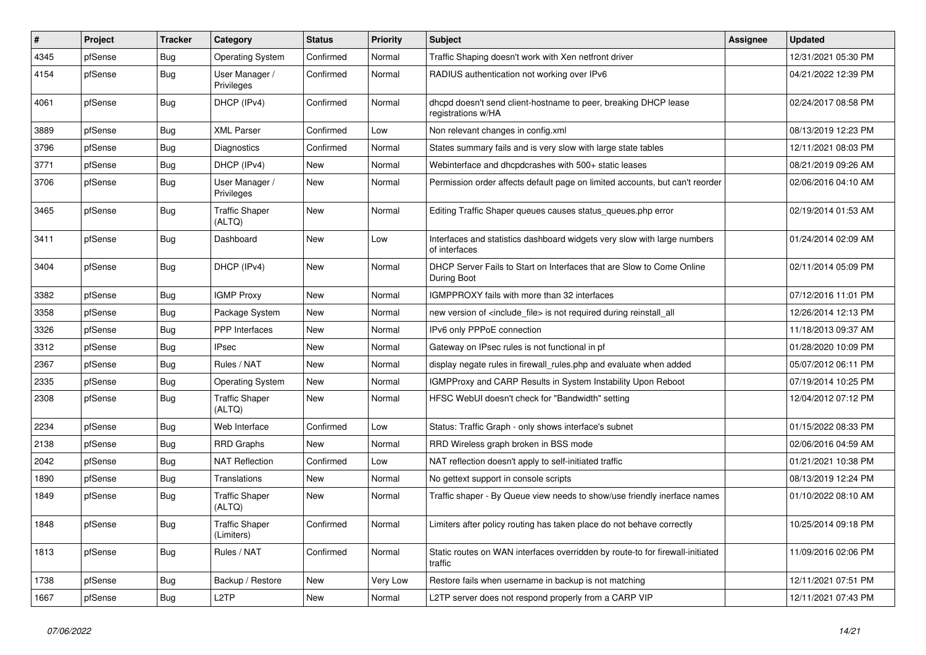| $\vert$ # | Project | <b>Tracker</b> | Category                            | <b>Status</b> | <b>Priority</b> | Subject                                                                                   | <b>Assignee</b> | <b>Updated</b>      |
|-----------|---------|----------------|-------------------------------------|---------------|-----------------|-------------------------------------------------------------------------------------------|-----------------|---------------------|
| 4345      | pfSense | <b>Bug</b>     | <b>Operating System</b>             | Confirmed     | Normal          | Traffic Shaping doesn't work with Xen netfront driver                                     |                 | 12/31/2021 05:30 PM |
| 4154      | pfSense | Bug            | User Manager /<br>Privileges        | Confirmed     | Normal          | RADIUS authentication not working over IPv6                                               |                 | 04/21/2022 12:39 PM |
| 4061      | pfSense | Bug            | DHCP (IPv4)                         | Confirmed     | Normal          | dhcpd doesn't send client-hostname to peer, breaking DHCP lease<br>registrations w/HA     |                 | 02/24/2017 08:58 PM |
| 3889      | pfSense | Bug            | <b>XML Parser</b>                   | Confirmed     | Low             | Non relevant changes in config.xml                                                        |                 | 08/13/2019 12:23 PM |
| 3796      | pfSense | Bug            | Diagnostics                         | Confirmed     | Normal          | States summary fails and is very slow with large state tables                             |                 | 12/11/2021 08:03 PM |
| 3771      | pfSense | Bug            | DHCP (IPv4)                         | <b>New</b>    | Normal          | Webinterface and dhcpdcrashes with 500+ static leases                                     |                 | 08/21/2019 09:26 AM |
| 3706      | pfSense | Bug            | User Manager /<br>Privileges        | New           | Normal          | Permission order affects default page on limited accounts, but can't reorder              |                 | 02/06/2016 04:10 AM |
| 3465      | pfSense | <b>Bug</b>     | <b>Traffic Shaper</b><br>(ALTQ)     | New           | Normal          | Editing Traffic Shaper queues causes status_queues.php error                              |                 | 02/19/2014 01:53 AM |
| 3411      | pfSense | Bug            | Dashboard                           | New           | Low             | Interfaces and statistics dashboard widgets very slow with large numbers<br>of interfaces |                 | 01/24/2014 02:09 AM |
| 3404      | pfSense | <b>Bug</b>     | DHCP (IPv4)                         | New           | Normal          | DHCP Server Fails to Start on Interfaces that are Slow to Come Online<br>During Boot      |                 | 02/11/2014 05:09 PM |
| 3382      | pfSense | Bug            | <b>IGMP Proxy</b>                   | New           | Normal          | IGMPPROXY fails with more than 32 interfaces                                              |                 | 07/12/2016 11:01 PM |
| 3358      | pfSense | Bug            | Package System                      | New           | Normal          | new version of <include_file> is not required during reinstall_all</include_file>         |                 | 12/26/2014 12:13 PM |
| 3326      | pfSense | <b>Bug</b>     | PPP Interfaces                      | New           | Normal          | IPv6 only PPPoE connection                                                                |                 | 11/18/2013 09:37 AM |
| 3312      | pfSense | Bug            | <b>IPsec</b>                        | New           | Normal          | Gateway on IPsec rules is not functional in pf                                            |                 | 01/28/2020 10:09 PM |
| 2367      | pfSense | Bug            | Rules / NAT                         | New           | Normal          | display negate rules in firewall_rules.php and evaluate when added                        |                 | 05/07/2012 06:11 PM |
| 2335      | pfSense | Bug            | <b>Operating System</b>             | New           | Normal          | <b>IGMPProxy and CARP Results in System Instability Upon Reboot</b>                       |                 | 07/19/2014 10:25 PM |
| 2308      | pfSense | <b>Bug</b>     | <b>Traffic Shaper</b><br>(ALTQ)     | New           | Normal          | HFSC WebUI doesn't check for "Bandwidth" setting                                          |                 | 12/04/2012 07:12 PM |
| 2234      | pfSense | Bug            | Web Interface                       | Confirmed     | Low             | Status: Traffic Graph - only shows interface's subnet                                     |                 | 01/15/2022 08:33 PM |
| 2138      | pfSense | <b>Bug</b>     | <b>RRD</b> Graphs                   | New           | Normal          | RRD Wireless graph broken in BSS mode                                                     |                 | 02/06/2016 04:59 AM |
| 2042      | pfSense | Bug            | <b>NAT Reflection</b>               | Confirmed     | Low             | NAT reflection doesn't apply to self-initiated traffic                                    |                 | 01/21/2021 10:38 PM |
| 1890      | pfSense | Bug            | Translations                        | New           | Normal          | No gettext support in console scripts                                                     |                 | 08/13/2019 12:24 PM |
| 1849      | pfSense | <b>Bug</b>     | <b>Traffic Shaper</b><br>(ALTQ)     | New           | Normal          | Traffic shaper - By Queue view needs to show/use friendly inerface names                  |                 | 01/10/2022 08:10 AM |
| 1848      | pfSense | <b>Bug</b>     | <b>Traffic Shaper</b><br>(Limiters) | Confirmed     | Normal          | Limiters after policy routing has taken place do not behave correctly                     |                 | 10/25/2014 09:18 PM |
| 1813      | pfSense | Bug            | Rules / NAT                         | Confirmed     | Normal          | Static routes on WAN interfaces overridden by route-to for firewall-initiated<br>traffic  |                 | 11/09/2016 02:06 PM |
| 1738      | pfSense | <b>Bug</b>     | Backup / Restore                    | New           | Very Low        | Restore fails when username in backup is not matching                                     |                 | 12/11/2021 07:51 PM |
| 1667      | pfSense | Bug            | L <sub>2</sub> TP                   | New           | Normal          | L2TP server does not respond properly from a CARP VIP                                     |                 | 12/11/2021 07:43 PM |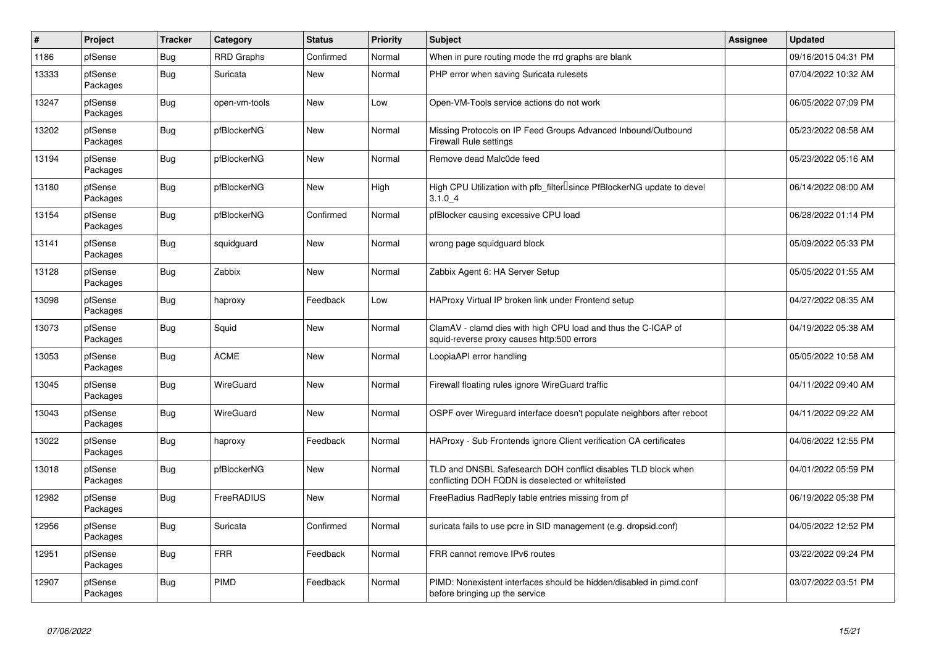| $\vert$ # | Project             | <b>Tracker</b> | Category          | <b>Status</b> | <b>Priority</b> | <b>Subject</b>                                                                                                     | <b>Assignee</b> | <b>Updated</b>      |
|-----------|---------------------|----------------|-------------------|---------------|-----------------|--------------------------------------------------------------------------------------------------------------------|-----------------|---------------------|
| 1186      | pfSense             | Bug            | <b>RRD Graphs</b> | Confirmed     | Normal          | When in pure routing mode the rrd graphs are blank                                                                 |                 | 09/16/2015 04:31 PM |
| 13333     | pfSense<br>Packages | Bug            | Suricata          | <b>New</b>    | Normal          | PHP error when saving Suricata rulesets                                                                            |                 | 07/04/2022 10:32 AM |
| 13247     | pfSense<br>Packages | Bug            | open-vm-tools     | New           | Low             | Open-VM-Tools service actions do not work                                                                          |                 | 06/05/2022 07:09 PM |
| 13202     | pfSense<br>Packages | <b>Bug</b>     | pfBlockerNG       | New           | Normal          | Missing Protocols on IP Feed Groups Advanced Inbound/Outbound<br><b>Firewall Rule settings</b>                     |                 | 05/23/2022 08:58 AM |
| 13194     | pfSense<br>Packages | Bug            | pfBlockerNG       | <b>New</b>    | Normal          | Remove dead Malc0de feed                                                                                           |                 | 05/23/2022 05:16 AM |
| 13180     | pfSense<br>Packages | <b>Bug</b>     | pfBlockerNG       | <b>New</b>    | High            | High CPU Utilization with pfb_filter <sup>[]</sup> since PfBlockerNG update to devel<br>3.1.04                     |                 | 06/14/2022 08:00 AM |
| 13154     | pfSense<br>Packages | Bug            | pfBlockerNG       | Confirmed     | Normal          | pfBlocker causing excessive CPU load                                                                               |                 | 06/28/2022 01:14 PM |
| 13141     | pfSense<br>Packages | Bug            | squidguard        | New           | Normal          | wrong page squidguard block                                                                                        |                 | 05/09/2022 05:33 PM |
| 13128     | pfSense<br>Packages | Bug            | Zabbix            | <b>New</b>    | Normal          | Zabbix Agent 6: HA Server Setup                                                                                    |                 | 05/05/2022 01:55 AM |
| 13098     | pfSense<br>Packages | Bug            | haproxy           | Feedback      | Low             | HAProxy Virtual IP broken link under Frontend setup                                                                |                 | 04/27/2022 08:35 AM |
| 13073     | pfSense<br>Packages | Bug            | Squid             | <b>New</b>    | Normal          | ClamAV - clamd dies with high CPU load and thus the C-ICAP of<br>squid-reverse proxy causes http:500 errors        |                 | 04/19/2022 05:38 AM |
| 13053     | pfSense<br>Packages | <b>Bug</b>     | <b>ACME</b>       | New           | Normal          | LoopiaAPI error handling                                                                                           |                 | 05/05/2022 10:58 AM |
| 13045     | pfSense<br>Packages | Bug            | WireGuard         | New           | Normal          | Firewall floating rules ignore WireGuard traffic                                                                   |                 | 04/11/2022 09:40 AM |
| 13043     | pfSense<br>Packages | Bug            | WireGuard         | <b>New</b>    | Normal          | OSPF over Wireguard interface doesn't populate neighbors after reboot                                              |                 | 04/11/2022 09:22 AM |
| 13022     | pfSense<br>Packages | <b>Bug</b>     | haproxy           | Feedback      | Normal          | HAProxy - Sub Frontends ignore Client verification CA certificates                                                 |                 | 04/06/2022 12:55 PM |
| 13018     | pfSense<br>Packages | <b>Bug</b>     | pfBlockerNG       | <b>New</b>    | Normal          | TLD and DNSBL Safesearch DOH conflict disables TLD block when<br>conflicting DOH FQDN is deselected or whitelisted |                 | 04/01/2022 05:59 PM |
| 12982     | pfSense<br>Packages | Bug            | FreeRADIUS        | New           | Normal          | FreeRadius RadReply table entries missing from pf                                                                  |                 | 06/19/2022 05:38 PM |
| 12956     | pfSense<br>Packages | Bug            | Suricata          | Confirmed     | Normal          | suricata fails to use pcre in SID management (e.g. dropsid.conf)                                                   |                 | 04/05/2022 12:52 PM |
| 12951     | pfSense<br>Packages | <b>Bug</b>     | <b>FRR</b>        | Feedback      | Normal          | FRR cannot remove IPv6 routes                                                                                      |                 | 03/22/2022 09:24 PM |
| 12907     | pfSense<br>Packages | <b>Bug</b>     | PIMD              | Feedback      | Normal          | PIMD: Nonexistent interfaces should be hidden/disabled in pimd.conf<br>before bringing up the service              |                 | 03/07/2022 03:51 PM |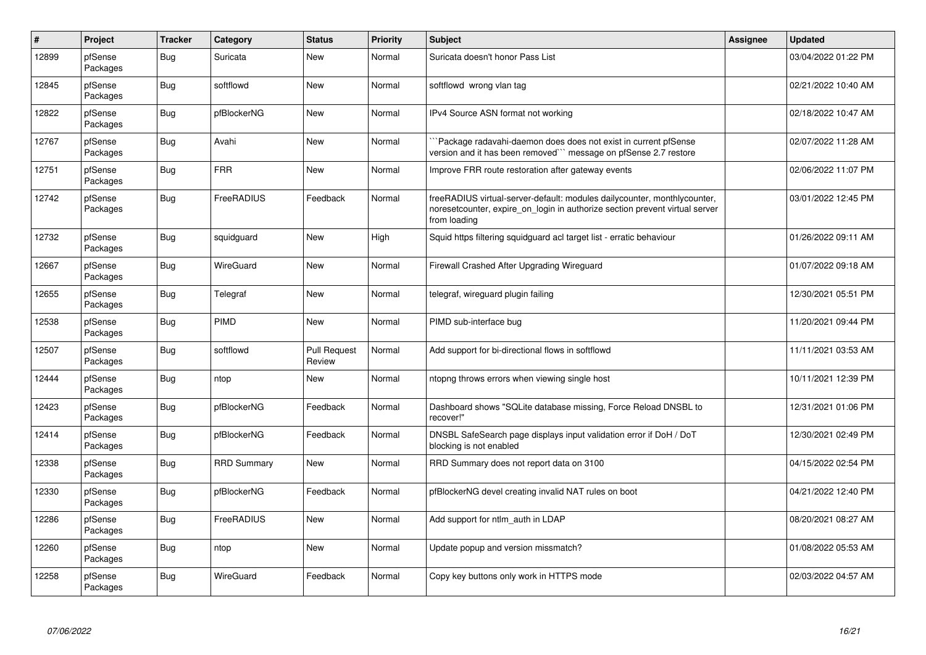| $\vert$ # | Project             | <b>Tracker</b> | Category           | <b>Status</b>                 | <b>Priority</b> | <b>Subject</b>                                                                                                                                                          | <b>Assignee</b> | <b>Updated</b>      |
|-----------|---------------------|----------------|--------------------|-------------------------------|-----------------|-------------------------------------------------------------------------------------------------------------------------------------------------------------------------|-----------------|---------------------|
| 12899     | pfSense<br>Packages | Bug            | Suricata           | New                           | Normal          | Suricata doesn't honor Pass List                                                                                                                                        |                 | 03/04/2022 01:22 PM |
| 12845     | pfSense<br>Packages | <b>Bug</b>     | softflowd          | New                           | Normal          | softflowd wrong vlan tag                                                                                                                                                |                 | 02/21/2022 10:40 AM |
| 12822     | pfSense<br>Packages | <b>Bug</b>     | pfBlockerNG        | <b>New</b>                    | Normal          | IPv4 Source ASN format not working                                                                                                                                      |                 | 02/18/2022 10:47 AM |
| 12767     | pfSense<br>Packages | <b>Bug</b>     | Avahi              | <b>New</b>                    | Normal          | Package radavahi-daemon does does not exist in current pfSense<br>version and it has been removed``` message on pfSense 2.7 restore                                     |                 | 02/07/2022 11:28 AM |
| 12751     | pfSense<br>Packages | <b>Bug</b>     | <b>FRR</b>         | New                           | Normal          | Improve FRR route restoration after gateway events                                                                                                                      |                 | 02/06/2022 11:07 PM |
| 12742     | pfSense<br>Packages | <b>Bug</b>     | FreeRADIUS         | Feedback                      | Normal          | freeRADIUS virtual-server-default: modules dailycounter, monthlycounter,<br>noresetcounter, expire on login in authorize section prevent virtual server<br>from loading |                 | 03/01/2022 12:45 PM |
| 12732     | pfSense<br>Packages | Bug            | squidguard         | New                           | High            | Squid https filtering squidguard acl target list - erratic behaviour                                                                                                    |                 | 01/26/2022 09:11 AM |
| 12667     | pfSense<br>Packages | <b>Bug</b>     | WireGuard          | <b>New</b>                    | Normal          | Firewall Crashed After Upgrading Wireguard                                                                                                                              |                 | 01/07/2022 09:18 AM |
| 12655     | pfSense<br>Packages | Bug            | Telegraf           | New                           | Normal          | telegraf, wireguard plugin failing                                                                                                                                      |                 | 12/30/2021 05:51 PM |
| 12538     | pfSense<br>Packages | <b>Bug</b>     | PIMD               | <b>New</b>                    | Normal          | PIMD sub-interface bug                                                                                                                                                  |                 | 11/20/2021 09:44 PM |
| 12507     | pfSense<br>Packages | <b>Bug</b>     | softflowd          | <b>Pull Request</b><br>Review | Normal          | Add support for bi-directional flows in softflowd                                                                                                                       |                 | 11/11/2021 03:53 AM |
| 12444     | pfSense<br>Packages | <b>Bug</b>     | ntop               | New                           | Normal          | ntopng throws errors when viewing single host                                                                                                                           |                 | 10/11/2021 12:39 PM |
| 12423     | pfSense<br>Packages | Bug            | pfBlockerNG        | Feedback                      | Normal          | Dashboard shows "SQLite database missing, Force Reload DNSBL to<br>recover!"                                                                                            |                 | 12/31/2021 01:06 PM |
| 12414     | pfSense<br>Packages | Bug            | pfBlockerNG        | Feedback                      | Normal          | DNSBL SafeSearch page displays input validation error if DoH / DoT<br>blocking is not enabled                                                                           |                 | 12/30/2021 02:49 PM |
| 12338     | pfSense<br>Packages | <b>Bug</b>     | <b>RRD Summary</b> | New                           | Normal          | RRD Summary does not report data on 3100                                                                                                                                |                 | 04/15/2022 02:54 PM |
| 12330     | pfSense<br>Packages | Bug            | pfBlockerNG        | Feedback                      | Normal          | pfBlockerNG devel creating invalid NAT rules on boot                                                                                                                    |                 | 04/21/2022 12:40 PM |
| 12286     | pfSense<br>Packages | Bug            | FreeRADIUS         | <b>New</b>                    | Normal          | Add support for ntlm auth in LDAP                                                                                                                                       |                 | 08/20/2021 08:27 AM |
| 12260     | pfSense<br>Packages | <b>Bug</b>     | ntop               | New                           | Normal          | Update popup and version missmatch?                                                                                                                                     |                 | 01/08/2022 05:53 AM |
| 12258     | pfSense<br>Packages | <b>Bug</b>     | WireGuard          | Feedback                      | Normal          | Copy key buttons only work in HTTPS mode                                                                                                                                |                 | 02/03/2022 04:57 AM |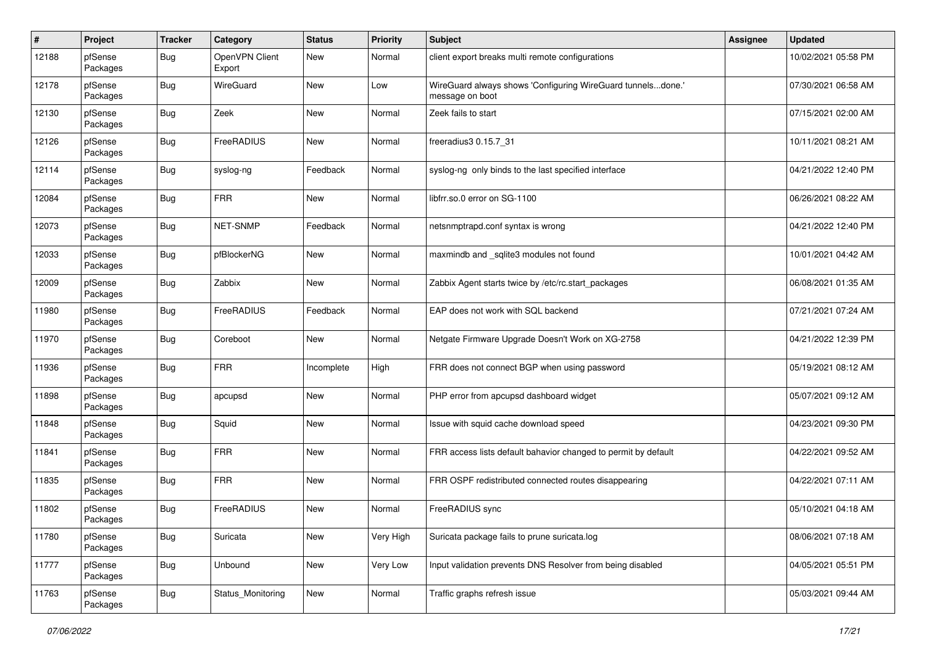| #     | Project             | <b>Tracker</b> | Category                 | <b>Status</b> | <b>Priority</b> | <b>Subject</b>                                                                 | <b>Assignee</b> | <b>Updated</b>      |
|-------|---------------------|----------------|--------------------------|---------------|-----------------|--------------------------------------------------------------------------------|-----------------|---------------------|
| 12188 | pfSense<br>Packages | <b>Bug</b>     | OpenVPN Client<br>Export | New           | Normal          | client export breaks multi remote configurations                               |                 | 10/02/2021 05:58 PM |
| 12178 | pfSense<br>Packages | Bug            | WireGuard                | New           | Low             | WireGuard always shows 'Configuring WireGuard tunnelsdone.'<br>message on boot |                 | 07/30/2021 06:58 AM |
| 12130 | pfSense<br>Packages | <b>Bug</b>     | Zeek                     | <b>New</b>    | Normal          | Zeek fails to start                                                            |                 | 07/15/2021 02:00 AM |
| 12126 | pfSense<br>Packages | <b>Bug</b>     | FreeRADIUS               | New           | Normal          | freeradius3 0.15.7_31                                                          |                 | 10/11/2021 08:21 AM |
| 12114 | pfSense<br>Packages | <b>Bug</b>     | syslog-ng                | Feedback      | Normal          | syslog-ng only binds to the last specified interface                           |                 | 04/21/2022 12:40 PM |
| 12084 | pfSense<br>Packages | <b>Bug</b>     | <b>FRR</b>               | New           | Normal          | libfrr.so.0 error on SG-1100                                                   |                 | 06/26/2021 08:22 AM |
| 12073 | pfSense<br>Packages | <b>Bug</b>     | NET-SNMP                 | Feedback      | Normal          | netsnmptrapd.conf syntax is wrong                                              |                 | 04/21/2022 12:40 PM |
| 12033 | pfSense<br>Packages | Bug            | pfBlockerNG              | New           | Normal          | maxmindb and _sqlite3 modules not found                                        |                 | 10/01/2021 04:42 AM |
| 12009 | pfSense<br>Packages | <b>Bug</b>     | Zabbix                   | New           | Normal          | Zabbix Agent starts twice by /etc/rc.start_packages                            |                 | 06/08/2021 01:35 AM |
| 11980 | pfSense<br>Packages | <b>Bug</b>     | FreeRADIUS               | Feedback      | Normal          | EAP does not work with SQL backend                                             |                 | 07/21/2021 07:24 AM |
| 11970 | pfSense<br>Packages | <b>Bug</b>     | Coreboot                 | <b>New</b>    | Normal          | Netgate Firmware Upgrade Doesn't Work on XG-2758                               |                 | 04/21/2022 12:39 PM |
| 11936 | pfSense<br>Packages | <b>Bug</b>     | <b>FRR</b>               | Incomplete    | High            | FRR does not connect BGP when using password                                   |                 | 05/19/2021 08:12 AM |
| 11898 | pfSense<br>Packages | <b>Bug</b>     | apcupsd                  | <b>New</b>    | Normal          | PHP error from apcupsd dashboard widget                                        |                 | 05/07/2021 09:12 AM |
| 11848 | pfSense<br>Packages | <b>Bug</b>     | Squid                    | <b>New</b>    | Normal          | Issue with squid cache download speed                                          |                 | 04/23/2021 09:30 PM |
| 11841 | pfSense<br>Packages | <b>Bug</b>     | <b>FRR</b>               | New           | Normal          | FRR access lists default bahavior changed to permit by default                 |                 | 04/22/2021 09:52 AM |
| 11835 | pfSense<br>Packages | <b>Bug</b>     | <b>FRR</b>               | New           | Normal          | FRR OSPF redistributed connected routes disappearing                           |                 | 04/22/2021 07:11 AM |
| 11802 | pfSense<br>Packages | <b>Bug</b>     | FreeRADIUS               | <b>New</b>    | Normal          | FreeRADIUS sync                                                                |                 | 05/10/2021 04:18 AM |
| 11780 | pfSense<br>Packages | <b>Bug</b>     | Suricata                 | New           | Very High       | Suricata package fails to prune suricata.log                                   |                 | 08/06/2021 07:18 AM |
| 11777 | pfSense<br>Packages | <b>Bug</b>     | Unbound                  | New           | Very Low        | Input validation prevents DNS Resolver from being disabled                     |                 | 04/05/2021 05:51 PM |
| 11763 | pfSense<br>Packages | <b>Bug</b>     | Status_Monitoring        | New           | Normal          | Traffic graphs refresh issue                                                   |                 | 05/03/2021 09:44 AM |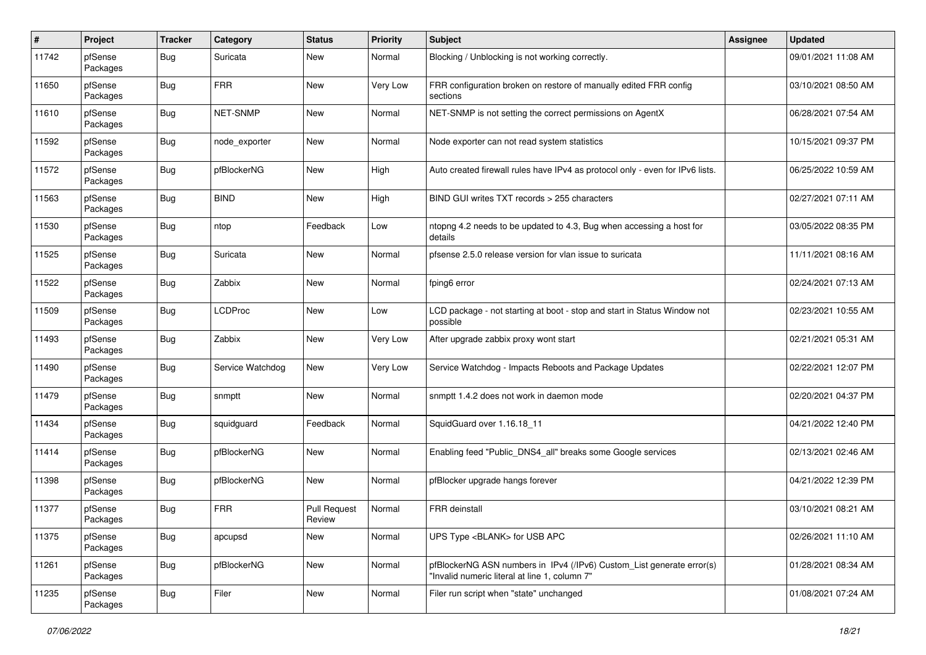| #     | Project             | <b>Tracker</b> | Category         | <b>Status</b>                 | <b>Priority</b> | <b>Subject</b>                                                                                                         | <b>Assignee</b> | <b>Updated</b>      |
|-------|---------------------|----------------|------------------|-------------------------------|-----------------|------------------------------------------------------------------------------------------------------------------------|-----------------|---------------------|
| 11742 | pfSense<br>Packages | <b>Bug</b>     | Suricata         | New                           | Normal          | Blocking / Unblocking is not working correctly.                                                                        |                 | 09/01/2021 11:08 AM |
| 11650 | pfSense<br>Packages | Bug            | <b>FRR</b>       | New                           | Very Low        | FRR configuration broken on restore of manually edited FRR config<br>sections                                          |                 | 03/10/2021 08:50 AM |
| 11610 | pfSense<br>Packages | <b>Bug</b>     | NET-SNMP         | <b>New</b>                    | Normal          | NET-SNMP is not setting the correct permissions on AgentX                                                              |                 | 06/28/2021 07:54 AM |
| 11592 | pfSense<br>Packages | <b>Bug</b>     | node_exporter    | New                           | Normal          | Node exporter can not read system statistics                                                                           |                 | 10/15/2021 09:37 PM |
| 11572 | pfSense<br>Packages | <b>Bug</b>     | pfBlockerNG      | New                           | High            | Auto created firewall rules have IPv4 as protocol only - even for IPv6 lists.                                          |                 | 06/25/2022 10:59 AM |
| 11563 | pfSense<br>Packages | <b>Bug</b>     | <b>BIND</b>      | New                           | High            | BIND GUI writes TXT records > 255 characters                                                                           |                 | 02/27/2021 07:11 AM |
| 11530 | pfSense<br>Packages | <b>Bug</b>     | ntop             | Feedback                      | Low             | ntopng 4.2 needs to be updated to 4.3, Bug when accessing a host for<br>details                                        |                 | 03/05/2022 08:35 PM |
| 11525 | pfSense<br>Packages | <b>Bug</b>     | Suricata         | New                           | Normal          | pfsense 2.5.0 release version for vlan issue to suricata                                                               |                 | 11/11/2021 08:16 AM |
| 11522 | pfSense<br>Packages | <b>Bug</b>     | Zabbix           | New                           | Normal          | fping6 error                                                                                                           |                 | 02/24/2021 07:13 AM |
| 11509 | pfSense<br>Packages | <b>Bug</b>     | <b>LCDProc</b>   | <b>New</b>                    | Low             | LCD package - not starting at boot - stop and start in Status Window not<br>possible                                   |                 | 02/23/2021 10:55 AM |
| 11493 | pfSense<br>Packages | Bug            | Zabbix           | New                           | Very Low        | After upgrade zabbix proxy wont start                                                                                  |                 | 02/21/2021 05:31 AM |
| 11490 | pfSense<br>Packages | Bug            | Service Watchdog | New                           | Very Low        | Service Watchdog - Impacts Reboots and Package Updates                                                                 |                 | 02/22/2021 12:07 PM |
| 11479 | pfSense<br>Packages | <b>Bug</b>     | snmptt           | New                           | Normal          | snmptt 1.4.2 does not work in daemon mode                                                                              |                 | 02/20/2021 04:37 PM |
| 11434 | pfSense<br>Packages | <b>Bug</b>     | squidguard       | Feedback                      | Normal          | SquidGuard over 1.16.18_11                                                                                             |                 | 04/21/2022 12:40 PM |
| 11414 | pfSense<br>Packages | <b>Bug</b>     | pfBlockerNG      | New                           | Normal          | Enabling feed "Public DNS4 all" breaks some Google services                                                            |                 | 02/13/2021 02:46 AM |
| 11398 | pfSense<br>Packages | <b>Bug</b>     | pfBlockerNG      | New                           | Normal          | pfBlocker upgrade hangs forever                                                                                        |                 | 04/21/2022 12:39 PM |
| 11377 | pfSense<br>Packages | <b>Bug</b>     | <b>FRR</b>       | <b>Pull Request</b><br>Review | Normal          | FRR deinstall                                                                                                          |                 | 03/10/2021 08:21 AM |
| 11375 | pfSense<br>Packages | <b>Bug</b>     | apcupsd          | New                           | Normal          | UPS Type <blank> for USB APC</blank>                                                                                   |                 | 02/26/2021 11:10 AM |
| 11261 | pfSense<br>Packages | <b>Bug</b>     | pfBlockerNG      | New                           | Normal          | pfBlockerNG ASN numbers in IPv4 (/IPv6) Custom_List generate error(s)<br>"Invalid numeric literal at line 1, column 7" |                 | 01/28/2021 08:34 AM |
| 11235 | pfSense<br>Packages | Bug            | Filer            | New                           | Normal          | Filer run script when "state" unchanged                                                                                |                 | 01/08/2021 07:24 AM |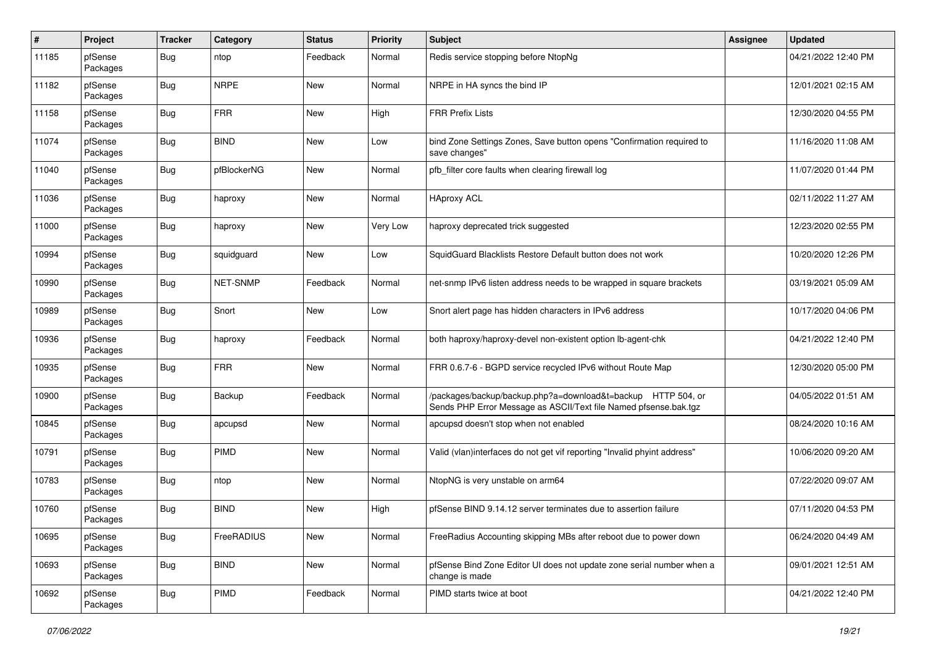| #     | Project             | <b>Tracker</b> | Category    | <b>Status</b> | <b>Priority</b> | <b>Subject</b>                                                                                                                   | <b>Assignee</b> | <b>Updated</b>      |
|-------|---------------------|----------------|-------------|---------------|-----------------|----------------------------------------------------------------------------------------------------------------------------------|-----------------|---------------------|
| 11185 | pfSense<br>Packages | <b>Bug</b>     | ntop        | Feedback      | Normal          | Redis service stopping before NtopNg                                                                                             |                 | 04/21/2022 12:40 PM |
| 11182 | pfSense<br>Packages | Bug            | <b>NRPE</b> | New           | Normal          | NRPE in HA syncs the bind IP                                                                                                     |                 | 12/01/2021 02:15 AM |
| 11158 | pfSense<br>Packages | <b>Bug</b>     | <b>FRR</b>  | <b>New</b>    | High            | <b>FRR Prefix Lists</b>                                                                                                          |                 | 12/30/2020 04:55 PM |
| 11074 | pfSense<br>Packages | <b>Bug</b>     | <b>BIND</b> | New           | Low             | bind Zone Settings Zones, Save button opens "Confirmation required to<br>save changes"                                           |                 | 11/16/2020 11:08 AM |
| 11040 | pfSense<br>Packages | <b>Bug</b>     | pfBlockerNG | New           | Normal          | pfb_filter core faults when clearing firewall log                                                                                |                 | 11/07/2020 01:44 PM |
| 11036 | pfSense<br>Packages | <b>Bug</b>     | haproxy     | New           | Normal          | <b>HAproxy ACL</b>                                                                                                               |                 | 02/11/2022 11:27 AM |
| 11000 | pfSense<br>Packages | <b>Bug</b>     | haproxy     | New           | Very Low        | haproxy deprecated trick suggested                                                                                               |                 | 12/23/2020 02:55 PM |
| 10994 | pfSense<br>Packages | <b>Bug</b>     | squidguard  | New           | Low             | SquidGuard Blacklists Restore Default button does not work                                                                       |                 | 10/20/2020 12:26 PM |
| 10990 | pfSense<br>Packages | <b>Bug</b>     | NET-SNMP    | Feedback      | Normal          | net-snmp IPv6 listen address needs to be wrapped in square brackets                                                              |                 | 03/19/2021 05:09 AM |
| 10989 | pfSense<br>Packages | <b>Bug</b>     | Snort       | <b>New</b>    | Low             | Snort alert page has hidden characters in IPv6 address                                                                           |                 | 10/17/2020 04:06 PM |
| 10936 | pfSense<br>Packages | Bug            | haproxy     | Feedback      | Normal          | both haproxy/haproxy-devel non-existent option lb-agent-chk                                                                      |                 | 04/21/2022 12:40 PM |
| 10935 | pfSense<br>Packages | <b>Bug</b>     | <b>FRR</b>  | New           | Normal          | FRR 0.6.7-6 - BGPD service recycled IPv6 without Route Map                                                                       |                 | 12/30/2020 05:00 PM |
| 10900 | pfSense<br>Packages | <b>Bug</b>     | Backup      | Feedback      | Normal          | /packages/backup/backup.php?a=download&t=backup HTTP 504, or<br>Sends PHP Error Message as ASCII/Text file Named pfsense.bak.tgz |                 | 04/05/2022 01:51 AM |
| 10845 | pfSense<br>Packages | <b>Bug</b>     | apcupsd     | New           | Normal          | apcupsd doesn't stop when not enabled                                                                                            |                 | 08/24/2020 10:16 AM |
| 10791 | pfSense<br>Packages | <b>Bug</b>     | PIMD        | New           | Normal          | Valid (vlan)interfaces do not get vif reporting "Invalid phyint address"                                                         |                 | 10/06/2020 09:20 AM |
| 10783 | pfSense<br>Packages | Bug            | ntop        | New           | Normal          | NtopNG is very unstable on arm64                                                                                                 |                 | 07/22/2020 09:07 AM |
| 10760 | pfSense<br>Packages | <b>Bug</b>     | <b>BIND</b> | <b>New</b>    | High            | pfSense BIND 9.14.12 server terminates due to assertion failure                                                                  |                 | 07/11/2020 04:53 PM |
| 10695 | pfSense<br>Packages | <b>Bug</b>     | FreeRADIUS  | New           | Normal          | FreeRadius Accounting skipping MBs after reboot due to power down                                                                |                 | 06/24/2020 04:49 AM |
| 10693 | pfSense<br>Packages | <b>Bug</b>     | <b>BIND</b> | New           | Normal          | pfSense Bind Zone Editor UI does not update zone serial number when a<br>change is made                                          |                 | 09/01/2021 12:51 AM |
| 10692 | pfSense<br>Packages | Bug            | PIMD        | Feedback      | Normal          | PIMD starts twice at boot                                                                                                        |                 | 04/21/2022 12:40 PM |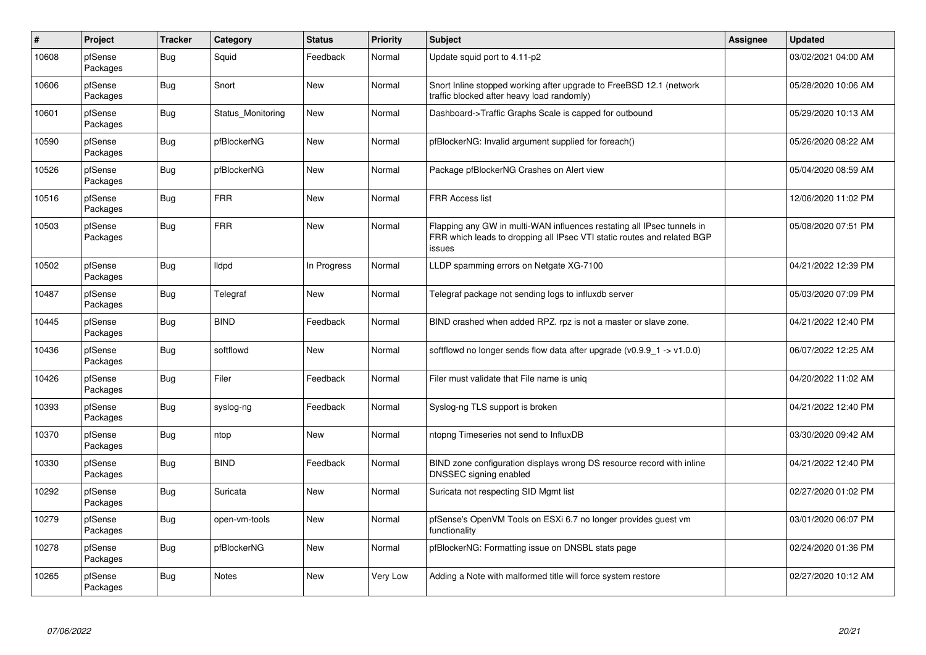| $\#$  | Project             | <b>Tracker</b> | Category          | <b>Status</b> | <b>Priority</b> | <b>Subject</b>                                                                                                                                              | <b>Assignee</b> | <b>Updated</b>      |
|-------|---------------------|----------------|-------------------|---------------|-----------------|-------------------------------------------------------------------------------------------------------------------------------------------------------------|-----------------|---------------------|
| 10608 | pfSense<br>Packages | <b>Bug</b>     | Squid             | Feedback      | Normal          | Update squid port to 4.11-p2                                                                                                                                |                 | 03/02/2021 04:00 AM |
| 10606 | pfSense<br>Packages | Bug            | Snort             | <b>New</b>    | Normal          | Snort Inline stopped working after upgrade to FreeBSD 12.1 (network<br>traffic blocked after heavy load randomly)                                           |                 | 05/28/2020 10:06 AM |
| 10601 | pfSense<br>Packages | <b>Bug</b>     | Status Monitoring | <b>New</b>    | Normal          | Dashboard->Traffic Graphs Scale is capped for outbound                                                                                                      |                 | 05/29/2020 10:13 AM |
| 10590 | pfSense<br>Packages | <b>Bug</b>     | pfBlockerNG       | New           | Normal          | pfBlockerNG: Invalid argument supplied for foreach()                                                                                                        |                 | 05/26/2020 08:22 AM |
| 10526 | pfSense<br>Packages | <b>Bug</b>     | pfBlockerNG       | <b>New</b>    | Normal          | Package pfBlockerNG Crashes on Alert view                                                                                                                   |                 | 05/04/2020 08:59 AM |
| 10516 | pfSense<br>Packages | <b>Bug</b>     | <b>FRR</b>        | New           | Normal          | FRR Access list                                                                                                                                             |                 | 12/06/2020 11:02 PM |
| 10503 | pfSense<br>Packages | <b>Bug</b>     | <b>FRR</b>        | New           | Normal          | Flapping any GW in multi-WAN influences restating all IPsec tunnels in<br>FRR which leads to dropping all IPsec VTI static routes and related BGP<br>issues |                 | 05/08/2020 07:51 PM |
| 10502 | pfSense<br>Packages | <b>Bug</b>     | <b>Ildpd</b>      | In Progress   | Normal          | LLDP spamming errors on Netgate XG-7100                                                                                                                     |                 | 04/21/2022 12:39 PM |
| 10487 | pfSense<br>Packages | <b>Bug</b>     | Telegraf          | <b>New</b>    | Normal          | Telegraf package not sending logs to influxdb server                                                                                                        |                 | 05/03/2020 07:09 PM |
| 10445 | pfSense<br>Packages | Bug            | <b>BIND</b>       | Feedback      | Normal          | BIND crashed when added RPZ. rpz is not a master or slave zone.                                                                                             |                 | 04/21/2022 12:40 PM |
| 10436 | pfSense<br>Packages | Bug            | softflowd         | New           | Normal          | softflowd no longer sends flow data after upgrade ( $v0.9.9 - 1$ -> $v1.0.0$ )                                                                              |                 | 06/07/2022 12:25 AM |
| 10426 | pfSense<br>Packages | <b>Bug</b>     | Filer             | Feedback      | Normal          | Filer must validate that File name is unig                                                                                                                  |                 | 04/20/2022 11:02 AM |
| 10393 | pfSense<br>Packages | <b>Bug</b>     | syslog-ng         | Feedback      | Normal          | Syslog-ng TLS support is broken                                                                                                                             |                 | 04/21/2022 12:40 PM |
| 10370 | pfSense<br>Packages | <b>Bug</b>     | ntop              | <b>New</b>    | Normal          | ntopng Timeseries not send to InfluxDB                                                                                                                      |                 | 03/30/2020 09:42 AM |
| 10330 | pfSense<br>Packages | <b>Bug</b>     | <b>BIND</b>       | Feedback      | Normal          | BIND zone configuration displays wrong DS resource record with inline<br>DNSSEC signing enabled                                                             |                 | 04/21/2022 12:40 PM |
| 10292 | pfSense<br>Packages | <b>Bug</b>     | Suricata          | New           | Normal          | Suricata not respecting SID Mgmt list                                                                                                                       |                 | 02/27/2020 01:02 PM |
| 10279 | pfSense<br>Packages | <b>Bug</b>     | open-vm-tools     | <b>New</b>    | Normal          | pfSense's OpenVM Tools on ESXi 6.7 no longer provides quest vm<br>functionality                                                                             |                 | 03/01/2020 06:07 PM |
| 10278 | pfSense<br>Packages | Bug            | pfBlockerNG       | <b>New</b>    | Normal          | pfBlockerNG: Formatting issue on DNSBL stats page                                                                                                           |                 | 02/24/2020 01:36 PM |
| 10265 | pfSense<br>Packages | <b>Bug</b>     | Notes             | <b>New</b>    | <b>Very Low</b> | Adding a Note with malformed title will force system restore                                                                                                |                 | 02/27/2020 10:12 AM |